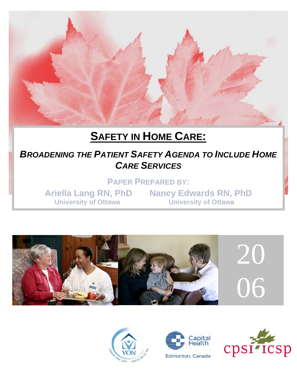

# **SAFETY IN HOME CARE:**

## **BROADENING THE PATIENT SAFETY AGENDA TO INCLUDE HOME** *CARE SERVICES*

**PAPER PREPARED BY:** 

**Ariella Lang RN, PhD Nancy Edwards RN, PhD University of Ottawa University of Ottawa** 







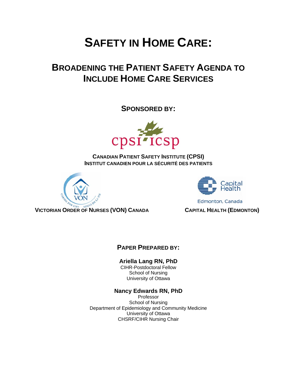# **SAFETY IN HOME CARE:**

## **BROADENING THE PATIENT SAFETY AGENDA TO INCLUDE HOME CARE SERVICES**

**SPONSORED BY:** 



**CANADIAN PATIENT SAFETY INSTITUTE (CPSI) INSTITUT CANADIEN POUR LA SÉCURITÉ DES PATIENTS**





Edmonton, Canada

**VICTORIAN ORDER OF NURSES (VON) CANADA CAPITAL HEALTH (EDMONTON)** 

## **PAPER PREPARED BY:**

#### **Ariella Lang RN, PhD**

CIHR-Postdoctoral Fellow School of Nursing University of Ottawa

#### **Nancy Edwards RN, PhD**

Professor School of Nursing Department of Epidemiology and Community Medicine University of Ottawa CHSRF/CIHR Nursing Chair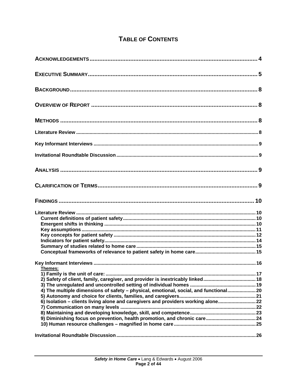## TABLE OF CONTENTS

| Themes:<br>2) Safety of client, family, caregiver, and provider is inextricably linked18<br>4) The multiple dimensions of safety - physical, emotional, social, and functional 20<br>6) Isolation - clients living alone and caregivers and providers working alone 22<br>9) Diminishing focus on prevention, health promotion, and chronic care 24 |  |
|-----------------------------------------------------------------------------------------------------------------------------------------------------------------------------------------------------------------------------------------------------------------------------------------------------------------------------------------------------|--|
|                                                                                                                                                                                                                                                                                                                                                     |  |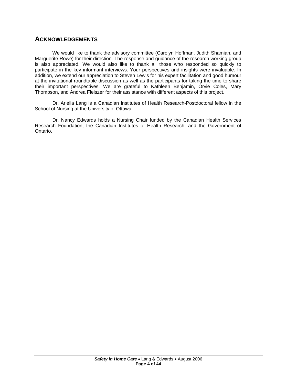## <span id="page-4-0"></span>**ACKNOWLEDGEMENTS**

We would like to thank the advisory committee (Carolyn Hoffman, Judith Shamian, and Marguerite Rowe) for their direction. The response and guidance of the research working group is also appreciated. We would also like to thank all those who responded so quickly to participate in the key informant interviews. Your perspectives and insights were invaluable. In addition, we extend our appreciation to Steven Lewis for his expert facilitation and good humour at the invitational roundtable discussion as well as the participants for taking the time to share their important perspectives. We are grateful to Kathleen Benjamin, Orvie Coles, Mary Thompson, and Andrea Fleiszer for their assistance with different aspects of this project.

Dr. Ariella Lang is a Canadian Institutes of Health Research-Postdoctoral fellow in the School of Nursing at the University of Ottawa.

Dr. Nancy Edwards holds a Nursing Chair funded by the Canadian Health Services Research Foundation, the Canadian Institutes of Health Research, and the Government of Ontario.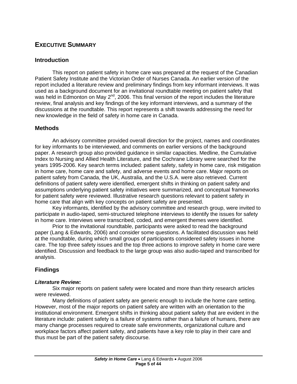## <span id="page-5-0"></span>**EXECUTIVE SUMMARY**

#### **Introduction**

This report on patient safety in home care was prepared at the request of the Canadian Patient Safety Institute and the Victorian Order of Nurses Canada. An earlier version of the report included a literature review and preliminary findings from key informant interviews. It was used as a background document for an invitational roundtable meeting on patient safety that was held in Edmonton on May 2<sup>nd</sup>, 2006. This final version of the report includes the literature review, final analysis and key findings of the key informant interviews, and a summary of the discussions at the roundtable. This report represents a shift towards addressing the need for new knowledge in the field of safety in home care in Canada.

#### **Methods**

An advisory committee provided overall direction for the project, names and coordinates for key informants to be interviewed, and comments on earlier versions of the background paper. A research group also provided guidance in similar capacities. Medline, the Cumulative Index to Nursing and Allied Health Literature, and the Cochrane Library were searched for the years 1995-2006. Key search terms included: patient safety, safety in home care, risk mitigation in home care, home care and safety, and adverse events and home care. Major reports on patient safety from Canada, the UK, Australia, and the U.S.A. were also retrieved. Current definitions of patient safety were identified, emergent shifts in thinking on patient safety and assumptions underlying patient safety initiatives were summarized, and conceptual frameworks for patient safety were reviewed. Illustrative research questions relevant to patient safety in home care that align with key concepts on patient safety are presented.

Key informants, identified by the advisory committee and research group, were invited to participate in audio-taped, semi-structured telephone interviews to identify the issues for safety in home care. Interviews were transcribed, coded, and emergent themes were identified.

Prior to the invitational roundtable, participants were asked to read the background paper (Lang & Edwards, 2006) and consider some questions. A facilitated discussion was held at the roundtable, during which small groups of participants considered safety issues in home care. The top three safety issues and the top three actions to improve safety in home care were identified. Discussion and feedback to the large group was also audio-taped and transcribed for analysis.

## **Findings**

#### *Literature Review:*

Six major reports on patient safety were located and more than thirty research articles were reviewed.

Many definitions of patient safety are generic enough to include the home care setting. However, most of the major reports on patient safety are written with an orientation to the institutional environment. Emergent shifts in thinking about patient safety that are evident in the literature include: patient safety is a failure of systems rather than a failure of humans, there are many change processes required to create safe environments, organizational culture and workplace factors affect patient safety, and patients have a key role to play in their care and thus must be part of the patient safety discourse.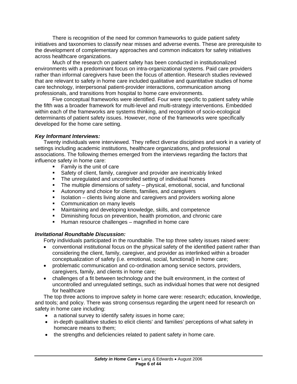There is recognition of the need for common frameworks to guide patient safety initiatives and taxonomies to classify near misses and adverse events. These are prerequisite to the development of complementary approaches and common indicators for safety initiatives across healthcare organizations.

 Much of the research on patient safety has been conducted in institutionalized environments with a predominant focus on intra-organizational systems. Paid care providers rather than informal caregivers have been the focus of attention. Research studies reviewed that are relevant to safety in home care included qualitative and quantitative studies of home care technology, interpersonal patient-provider interactions, communication among professionals, and transitions from hospital to home care environments.

 Five conceptual frameworks were identified. Four were specific to patient safety while the fifth was a broader framework for multi-level and multi-strategy interventions. Embedded within each of the frameworks are systems thinking, and recognition of socio-ecological determinants of patient safety issues. However, none of the frameworks were specifically developed for the home care setting.

#### *Key Informant Interviews:*

Twenty individuals were interviewed. They reflect diverse disciplines and work in a variety of settings including academic institutions, healthcare organizations, and professional associations. The following themes emerged from the interviews regarding the factors that influence safety in home care:

- **Family is the unit of care**
- Safety of client, family, caregiver and provider are inextricably linked
- The unregulated and uncontrolled setting of individual homes
- The multiple dimensions of safety physical, emotional, social, and functional
- Autonomy and choice for clients, families, and caregivers
- Insolation clients living alone and caregivers and providers working alone
- Communication on many levels
- **Maintaining and developing knowledge, skills, and competence**
- **•** Diminishing focus on prevention, health promotion, and chronic care
- **Human resource challenges magnified in home care**

#### *Invitational Roundtable Discussion:*

Forty individuals participated in the roundtable. The top three safety issues raised were:

- conventional institutional focus on the physical safety of the identified patient rather than considering the client, family, caregiver, and provider as interlinked within a broader conceptualization of safety (i.e. emotional, social, functional) in home care;
- problematic communication and co-ordination among service sectors, providers, caregivers, family, and clients in home care;
- challenges of a fit between technology and the built environment, in the context of uncontrolled and unregulated settings, such as individual homes that were not designed for healthcare

The top three actions to improve safety in home care were: research; education, knowledge, and tools; and policy. There was strong consensus regarding the urgent need for research on safety in home care including:

- a national survey to identify safety issues in home care;
- in-depth qualitative studies to elicit clients' and families' perceptions of what safety in homecare means to them;
- the strengths and deficiencies related to patient safety in home care.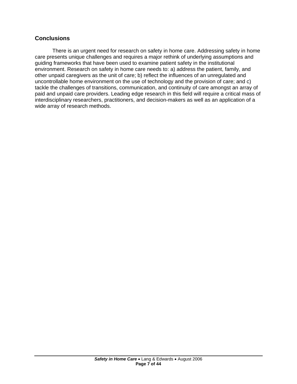## **Conclusions**

There is an urgent need for research on safety in home care. Addressing safety in home care presents unique challenges and requires a major rethink of underlying assumptions and guiding frameworks that have been used to examine patient safety in the institutional environment. Research on safety in home care needs to: a) address the patient, family, and other unpaid caregivers as the unit of care; b) reflect the influences of an unregulated and uncontrollable home environment on the use of technology and the provision of care; and c) tackle the challenges of transitions, communication, and continuity of care amongst an array of paid and unpaid care providers. Leading edge research in this field will require a critical mass of interdisciplinary researchers, practitioners, and decision-makers as well as an application of a wide array of research methods.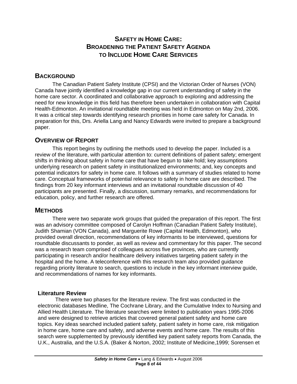## **SAFETY IN HOME CARE: BROADENING THE PATIENT SAFETY AGENDA TO INCLUDE HOME CARE SERVICES**

## <span id="page-8-0"></span>**BACKGROUND**

The Canadian Patient Safety Institute (CPSI) and the Victorian Order of Nurses (VON) Canada have jointly identified a knowledge gap in our current understanding of safety in the home care sector. A coordinated and collaborative approach to exploring and addressing the need for new knowledge in this field has therefore been undertaken in collaboration with Capital Health-Edmonton. An invitational roundtable meeting was held in Edmonton on May 2nd, 2006. It was a critical step towards identifying research priorities in home care safety for Canada. In preparation for this, Drs. Ariella Lang and Nancy Edwards were invited to prepare a background paper.

## **OVERVIEW OF REPORT**

This report begins by outlining the methods used to develop the paper. Included is a review of the literature, with particular attention to: current definitions of patient safety; emergent shifts in thinking about safety in home care that have begun to take hold; key assumptions underlying research on patient safety in institutionalized environments; and, key concepts and potential indicators for safety in home care. It follows with a summary of studies related to home care. Conceptual frameworks of potential relevance to safety in home care are described. The findings from 20 key informant interviews and an invitational roundtable discussion of 40 participants are presented. Finally, a discussion, summary remarks, and recommendations for education, policy, and further research are offered.

## **METHODS**

There were two separate work groups that guided the preparation of this report. The first was an advisory committee composed of Carolyn Hoffman (Canadian Patient Safety Institute), Judith Shamian (VON Canada), and Marguerite Rowe (Capital Health, Edmonton), who provided overall direction, recommendations of key informants to be interviewed, questions for roundtable discussants to ponder, as well as review and commentary for this paper. The second was a research team comprised of colleagues across five provinces, who are currently participating in research and/or healthcare delivery initiatives targeting patient safety in the hospital and the home. A teleconference with this research team also provided guidance regarding priority literature to search, questions to include in the key informant interview guide, and recommendations of names for key informants.

#### **Literature Review**

There were two phases for the literature review. The first was conducted in the electronic databases Medline, The Cochrane Library, and the Cumulative Index to Nursing and Allied Health Literature. The literature searches were limited to publication years 1995-2006 and were designed to retrieve articles that covered general patient safety and home care topics. Key ideas searched included patient safety, patient safety in home care, risk mitigation in home care, home care and safety, and adverse events and home care. The results of this search were supplemented by previously identified key patient safety reports from Canada, the U.K., Australia, and the U.S.A. (Baker & Norton, 2002; Institute of Medicine,1999; Sorensen et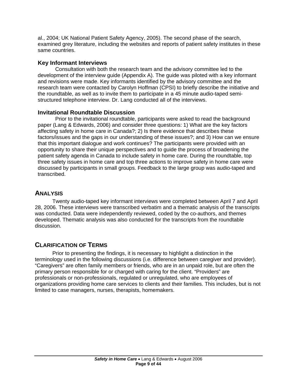<span id="page-9-0"></span>al., 2004; UK National Patient Safety Agency, 2005). The second phase of the search, examined grey literature, including the websites and reports of patient safety institutes in these same countries.

#### **Key Informant Interviews**

Consultation with both the research team and the advisory committee led to the development of the interview guide (Appendix A). The guide was piloted with a key informant and revisions were made. Key informants identified by the advisory committee and the research team were contacted by Carolyn Hoffman (CPSI) to briefly describe the initiative and the roundtable, as well as to invite them to participate in a 45 minute audio-taped semistructured telephone interview. Dr. Lang conducted all of the interviews.

#### **Invitational Roundtable Discussion**

Prior to the invitational roundtable, participants were asked to read the background paper (Lang & Edwards, 2006) and consider three questions: 1) What are the key factors affecting safety in home care in Canada?; 2) Is there evidence that describes these factors/issues and the gaps in our understanding of these issues?; and 3) How can we ensure that this important dialogue and work continues? The participants were provided with an opportunity to share their unique perspectives and to guide the process of broadening the patient safety agenda in Canada to include safety in home care. During the roundtable, top three safety issues in home care and top three actions to improve safety in home care were discussed by participants in small groups. Feedback to the large group was audio-taped and transcribed.

## **ANALYSIS**

Twenty audio-taped key informant interviews were completed between April 7 and April 28, 2006. These interviews were transcribed verbatim and a thematic analysis of the transcripts was conducted. Data were independently reviewed, coded by the co-authors, and themes developed. Thematic analysis was also conducted for the transcripts from the roundtable discussion.

## **CLARIFICATION OF TERMS**

Prior to presenting the findings, it is necessary to highlight a distinction in the terminology used in the following discussions (i.e. difference between caregiver and provider). "Caregivers" are often family members or friends, who are in an unpaid role, but are often the primary person responsible for or charged with caring for the client. "Providers" are professionals or non-professionals, regulated or unregulated, who are employees of organizations providing home care services to clients and their families. This includes, but is not limited to case managers, nurses, therapists, homemakers.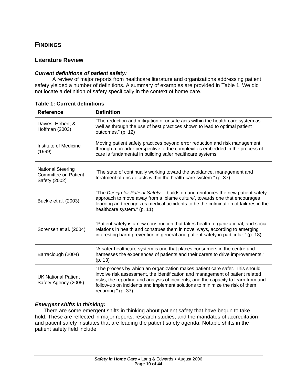## <span id="page-10-0"></span>**FINDINGS**

#### **Literature Review**

#### *Current definitions of patient safety:*

A review of major reports from healthcare literature and organizations addressing patient safety yielded a number of definitions. A summary of examples are provided in Table 1. We did not locate a definition of safety specifically in the context of home care.

| <b>Reference</b>                                                         | <b>Definition</b>                                                                                                                                                                                                                                                                                                                                        |
|--------------------------------------------------------------------------|----------------------------------------------------------------------------------------------------------------------------------------------------------------------------------------------------------------------------------------------------------------------------------------------------------------------------------------------------------|
| Davies, Hébert, &<br>Hoffman (2003)                                      | "The reduction and mitigation of unsafe acts within the health-care system as<br>well as through the use of best practices shown to lead to optimal patient<br>outcomes." (p. 12)                                                                                                                                                                        |
| Institute of Medicine<br>(1999)                                          | Moving patient safety practices beyond error reduction and risk management<br>through a broader perspective of the complexities embedded in the process of<br>care is fundamental in building safer healthcare systems.                                                                                                                                  |
| <b>National Steering</b><br><b>Committee on Patient</b><br>Safety (2002) | "The state of continually working toward the avoidance, management and<br>treatment of unsafe acts within the health-care system." (p. 37)                                                                                                                                                                                                               |
| Buckle et al. (2003)                                                     | "The Design for Patient Safety builds on and reinforces the new patient safety<br>approach to move away from a 'blame culture', towards one that encourages<br>learning and recognizes medical accidents to be the culmination of failures in the<br>healthcare system." (p. 11)                                                                         |
| Sorensen et al. (2004)                                                   | "Patient safety is a new construction that takes health, organizational, and social<br>relations in health and construes them in novel ways, according to emerging<br>interesting harm prevention in general and patient safety in particular." (p. 18)                                                                                                  |
| Barraclough (2004)                                                       | "A safer healthcare system is one that places consumers in the centre and<br>harnesses the experiences of patients and their carers to drive improvements."<br>(p. 13)                                                                                                                                                                                   |
| <b>UK National Patient</b><br>Safety Agency (2005)                       | "The process by which an organization makes patient care safer. This should<br>involve risk assessment, the identification and management of patient related<br>risks, the reporting and analysis of incidents, and the capacity to learn from and<br>follow-up on incidents and implement solutions to minimize the risk of them<br>recurring." (p. 37) |

**Table 1: Current definitions** 

#### *Emergent shifts in thinking:*

There are some emergent shifts in thinking about patient safety that have begun to take hold. These are reflected in major reports, research studies, and the mandates of accreditation and patient safety institutes that are leading the patient safety agenda. Notable shifts in the patient safety field include: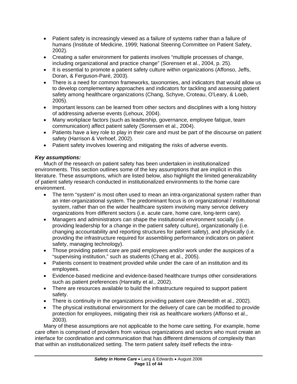- <span id="page-11-0"></span>• Patient safety is increasingly viewed as a failure of systems rather than a failure of humans (Institute of Medicine, 1999; National Steering Committee on Patient Safety, 2002).
- Creating a safer environment for patients involves "multiple processes of change, including organizational and practice change" (Sorensen et al., 2004, p. 25).
- It is essential to promote a patient safety culture within organizations (Affonso, Jeffs, Doran, & Ferguson-Paré, 2003).
- There is a need for common frameworks, taxonomies, and indicators that would allow us to develop complementary approaches and indicators for tackling and assessing patient safety among healthcare organizations (Chang, Schyve, Croteau, O'Leary, & Loeb, 2005).
- Important lessons can be learned from other sectors and disciplines with a long history of addressing adverse events (Lehoux, 2004).
- Many workplace factors (such as leadership, governance, employee fatigue, team communication) affect patient safety (Sorensen et al., 2004).
- Patients have a key role to play in their care and must be part of the discourse on patient safety (Harrison & Verhoef, 2002).
- Patient safety involves lowering and mitigating the risks of adverse events.

## *Key assumptions:*

Much of the research on patient safety has been undertaken in institutionalized environments. This section outlines some of the key assumptions that are implicit in this literature. These assumptions, which are listed below, also highlight the limited generalizability of patient safety research conducted in institutionalized environments to the home care environment.

- The term "system" is most often used to mean an intra-organizational system rather than an inter-organizational system. The predominant focus is on organizational / institutional system, rather than on the wider healthcare system involving many service delivery organizations from different sectors (i.e. acute care, home care, long-term care).
- Managers and administrators can shape the institutional environment socially (i.e. providing leadership for a change in the patient safety culture), organizationally (i.e. changing accountability and reporting structures for patient safety), and physically (i.e. providing the infrastructure required for assembling performance indicators on patient safety, managing technology).
- Those providing patient care are paid employees and/or work under the auspices of a "supervising institution," such as students (Chang et al., 2005).
- Patients consent to treatment provided while under the care of an institution and its employees.
- Evidence-based medicine and evidence-based healthcare trumps other considerations such as patient preferences (Hanratty et al., 2002).
- There are resources available to build the infrastructure required to support patient safety.
- There is continuity in the organizations providing patient care (Meredith et al., 2002).
- The physical institutional environment for the delivery of care can be modified to provide protection for employees, mitigating their risk as healthcare workers (Affonso et al., 2003).

Many of these assumptions are not applicable to the home care setting. For example, home care often is comprised of providers from various organizations and sectors who must create an interface for coordination and communication that has different dimensions of complexity than that within an institutionalized setting. The term patient safety itself reflects the intra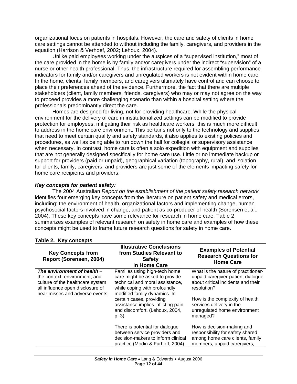<span id="page-12-0"></span>organizational focus on patients in hospitals. However, the care and safety of clients in home care settings cannot be attended to without including the family, caregivers, and providers in the equation (Harrison & Verhoef, 2002; Lehoux, 2004).

 Unlike paid employees working under the auspices of a "supervised institution," most of the care provided in the home is by family and/or caregivers under the indirect "supervision" of a nurse or other health professional. Thus, the infrastructure required for assembling performance indicators for family and/or caregivers and unregulated workers is not evident within home care. In the home, clients, family members, and caregivers ultimately have control and can choose to place their preferences ahead of the evidence. Furthermore, the fact that there are multiple stakeholders (client, family members, friends, caregivers) who may or may not agree on the way to proceed provides a more challenging scenario than within a hospital setting where the professionals predominantly direct the care.

 Homes are designed for living, not for providing healthcare. While the physical environment for the delivery of care in institutionalized settings can be modified to provide protection for employees, mitigating their risk as healthcare workers, this is much more difficult to address in the home care environment. This pertains not only to the technology and supplies that need to meet certain quality and safety standards, it also applies to existing policies and procedures, as well as being able to run down the hall for collegial or supervisory assistance when necessary. In contrast, home care is often a solo expedition with equipment and supplies that are not generally designed specifically for home care use. Little or no immediate backup or support for providers (paid or unpaid), geographical variation (topography, rural), and isolation for clients, family, caregivers, and providers are just some of the elements impacting safety for home care recipients and providers.

#### *Key concepts for patient safety:*

The 2004 Australian *Report on the establishment of the patient safety research network* identifies four emerging key concepts from the literature on patient safety and medical errors, including: the environment of health, organizational factors and implementing change, human psychosocial factors involved in change, and patient as co-producer of health (Sorensen et al., 2004). These key concepts have some relevance for research in home care. Table 2 summarizes examples of relevant research on safety in home care and examples of how these concepts might be used to frame future research questions for safety in home care.

| <b>Key Concepts from</b><br>Report (Sorensen, 2004)                                                                                                                       | <b>Illustrative Conclusions</b><br>from Studies Relevant to<br><b>Safety</b><br>in Home Care                                                                       | <b>Examples of Potential</b><br><b>Research Questions for</b><br><b>Home Care</b>                                                |
|---------------------------------------------------------------------------------------------------------------------------------------------------------------------------|--------------------------------------------------------------------------------------------------------------------------------------------------------------------|----------------------------------------------------------------------------------------------------------------------------------|
| The environment of health $-$<br>the context, environment, and<br>culture of the healthcare system<br>all influence open disclosure of<br>near misses and adverse events. | Families using high-tech home<br>care might be asked to provide<br>technical and moral assistance,<br>while coping with profoundly<br>modified family dynamics. In | What is the nature of practitioner-<br>unpaid caregiver-patient dialogue<br>about critical incidents and their<br>resolution?    |
|                                                                                                                                                                           | certain cases, providing<br>assistance implies inflicting pain<br>and discomfort. (Lehoux, 2004,<br>p. 3).                                                         | How is the complexity of health<br>services delivery in the<br>unregulated home environment<br>managed?                          |
|                                                                                                                                                                           | There is potential for dialogue<br>between service providers and<br>decision-makers to inform clinical<br>practice (Modin & Furhoff, 2004).                        | How is decision-making and<br>responsibility for safety shared<br>among home care clients, family<br>members, unpaid caregivers, |

#### **Table 2. Key concepts**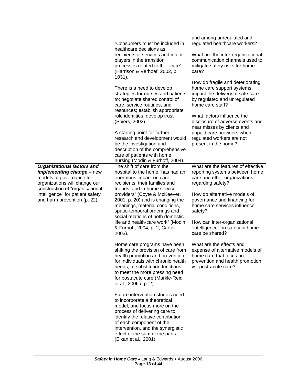|                                                                                                                                                         | "Consumers must be included in<br>healthcare decisions as                                                                                                                                                                                                                                           | and among unregulated and<br>regulated healthcare workers?                                                                                              |
|---------------------------------------------------------------------------------------------------------------------------------------------------------|-----------------------------------------------------------------------------------------------------------------------------------------------------------------------------------------------------------------------------------------------------------------------------------------------------|---------------------------------------------------------------------------------------------------------------------------------------------------------|
|                                                                                                                                                         | recipients of services and major<br>players in the transition<br>processes related to their care"<br>(Harrison & Verhoef, 2002, p.<br>1031).                                                                                                                                                        | What are the inter-organizational<br>communication channels used to<br>mitigate safety risks for home<br>care?                                          |
|                                                                                                                                                         | There is a need to develop<br>strategies for nurses and patients<br>to: negotiate shared control of<br>care, service routines, and<br>resources; establish appropriate                                                                                                                              | How do fragile and deteriorating<br>home care support systems<br>impact the delivery of safe care<br>by regulated and unregulated<br>home care staff?   |
|                                                                                                                                                         | role identities; develop trust<br>(Spiers, 2002).<br>A starting point for further<br>research and development would                                                                                                                                                                                 | What factors influence the<br>disclosure of adverse events and<br>near misses by clients and<br>unpaid care providers when<br>regulated workers are not |
|                                                                                                                                                         | be the investigation and<br>description of the comprehensive<br>care of patients with home<br>nursing (Modin & Furhoff, 2004).                                                                                                                                                                      | present in the home?                                                                                                                                    |
| Organizational factors and<br>implementing change - new<br>models of governance for<br>organizations will change our<br>construction of "organisational | The shift of care from the<br>hospital to the home "has had an<br>enormous impact on care<br>recipients, their families and<br>friends, and in-home service                                                                                                                                         | What are the features of effective<br>reporting systems between home<br>care and other organizations<br>regarding safety?                               |
| intelligence" for patient safety<br>and harm prevention (p. 22).                                                                                        | providers" (Coyte & McKeever,<br>2001, p. 20) and is changing the<br>meanings, material conditions,<br>spatio-temporal orderings and                                                                                                                                                                | How do alternative models of<br>governance and financing for<br>home care services influence<br>safety?                                                 |
|                                                                                                                                                         | social relations of both domestic<br>life and health-care work" (Modin<br>& Furhoff, 2004, p. 2; Cartier,<br>2003).                                                                                                                                                                                 | How can inter-organizational<br>"intelligence" on safety in home<br>care be shared?                                                                     |
|                                                                                                                                                         | Home care programs have been<br>shifting the provision of care from<br>health promotion and prevention<br>for individuals with chronic health<br>needs, to substitution functions<br>to meet the more pressing need<br>for postacute care (Markle-Reid<br>et al., 2006a, p. 2).                     | What are the effects and<br>expense of alternative models of<br>home care that focus on<br>prevention and health promotion<br>vs. post-acute care?      |
|                                                                                                                                                         | Future intervention studies need<br>to incorporate a theoretical<br>model, and focus more on the<br>process of delivering care to<br>identify the relative contribution<br>of each component of the<br>intervention, and the synergistic<br>effect of the sum of the parts<br>(Elkan et al., 2001). |                                                                                                                                                         |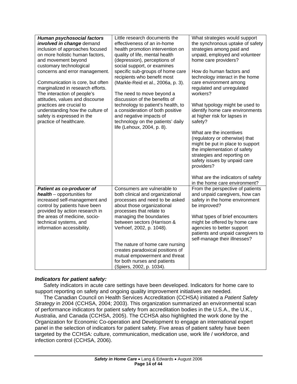<span id="page-14-0"></span>

| <b>Human psychosocial factors</b><br>involved in change demand<br>inclusion of approaches focused<br>on more holistic human factors,<br>and movement beyond<br>customary technological<br>concerns and error management.<br>Communication is core, but often<br>marginalized in research efforts.<br>The interaction of people's<br>attitudes, values and discourse<br>practices are crucial to<br>understanding how the culture of<br>safety is expressed in the<br>practice of healthcare. | Little research documents the<br>effectiveness of an in-home<br>health promotion intervention on<br>quality of life, mental health<br>(depression), perceptions of<br>social support, or examines<br>specific sub-groups of home care<br>recipients who benefit most<br>(Markle-Reid et al., 2006a, p. 3).<br>The need to move beyond a<br>discussion of the benefits of<br>technology to patient's health, to<br>a consideration of both positive<br>and negative impacts of<br>technology on the patients' daily<br>life (Lehoux, 2004, p. 8). | What strategies would support<br>the synchronous uptake of safety<br>strategies among paid and<br>unpaid, employed and volunteer<br>home care providers?<br>How do human factors and<br>technology interact in the home<br>care environment among<br>regulated and unregulated<br>workers?<br>What typology might be used to<br>identify home care environments<br>at higher risk for lapses in<br>safety?<br>What are the incentives<br>(regulatory or otherwise) that<br>might be put in place to support<br>the implementation of safety<br>strategies and reporting on<br>safety issues by unpaid care<br>providers?<br>What are the indicators of safety<br>in the home care environment? |
|----------------------------------------------------------------------------------------------------------------------------------------------------------------------------------------------------------------------------------------------------------------------------------------------------------------------------------------------------------------------------------------------------------------------------------------------------------------------------------------------|--------------------------------------------------------------------------------------------------------------------------------------------------------------------------------------------------------------------------------------------------------------------------------------------------------------------------------------------------------------------------------------------------------------------------------------------------------------------------------------------------------------------------------------------------|------------------------------------------------------------------------------------------------------------------------------------------------------------------------------------------------------------------------------------------------------------------------------------------------------------------------------------------------------------------------------------------------------------------------------------------------------------------------------------------------------------------------------------------------------------------------------------------------------------------------------------------------------------------------------------------------|
| Patient as co-producer of<br>health - opportunities for<br>increased self-management and<br>control by patients have been<br>provided by action research in<br>the areas of medicine, socio-<br>technical systems, and<br>information accessibility.                                                                                                                                                                                                                                         | Consumers are vulnerable to<br>both clinical and organizational<br>processes and need to be asked<br>about those organizational<br>processes that relate to<br>managing the boundaries<br>between sectors (Harrison &<br>Verhoef, 2002, p. 1048).<br>The nature of home care nursing<br>creates paradoxical positions of<br>mutual empowerment and threat<br>for both nurses and patients<br>(Spiers, 2002, p. 1034).                                                                                                                            | From the perspective of patients<br>and unpaid caregivers, how can<br>safety in the home environment<br>be improved?<br>What types of brief encounters<br>might be offered by home care<br>agencies to better support<br>patients and unpaid caregivers to<br>self-manage their illnesses?                                                                                                                                                                                                                                                                                                                                                                                                     |

#### *Indicators for patient safety:*

Safety indicators in acute care settings have been developed. Indicators for home care to support reporting on safety and ongoing quality improvement initiatives are needed.

The Canadian Council on Health Services Accreditation (CCHSA) initiated a *Patient Safety Strategy* in 2004 (CCHSA, 2004; 2003). This organization summarized an environmental scan of performance indicators for patient safety from accreditation bodies in the U.S.A., the U.K., Australia, and Canada (CCHSA, 2005). The CCHSA also highlighted the work done by the Organization for Economic Co-operation and Development to engage an international expert panel in the selection of indicators for patient safety. Five areas of patient safety have been targeted by the CCHSA: culture, communication, medication use, work life / workforce, and infection control (CCHSA, 2006).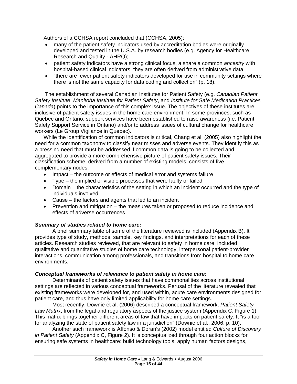<span id="page-15-0"></span>Authors of a CCHSA report concluded that (CCHSA, 2005):

- many of the patient safety indicators used by accreditation bodies were originally developed and tested in the U.S.A. by research bodies (e.g. Agency for Healthcare Research and Quality - AHRQ);
- patient safety indicators have a strong clinical focus, a share a common *ancestry* with hospital-based clinical indicators; they are often derived from administrative data;
- "there are fewer patient safety indicators developed for use in community settings where there is not the same capacity for data coding and collection" (p. 18).

The establishment of several Canadian Institutes for Patient Safety (e.g. *Canadian Patient Safety Institute*, *Manitoba Institute for Patient Safety*, and *Institute for Safe Medication Practices Canada*) points to the importance of this complex issue. The objectives of these institutes are inclusive of patient safety issues in the home care environment. In some provinces, such as Quebec and Ontario, support services have been established to raise awareness (i.e. Patient Safety Support Service in Ontario) and/or to address issues of cultural change for healthcare workers (Le Group Vigilance in Quebec).

While the identification of common indicators is critical, Chang et al. (2005) also highlight the need for a common taxonomy to classify near misses and adverse events. They identify this as a pressing need that must be addressed if common data is going to be collected and aggregated to provide a more comprehensive picture of patient safety issues. Their classification scheme, derived from a number of existing models, consists of five complementary nodes:

- Impact the outcome or effects of medical error and systems failure
- Type the implied or visible processes that were faulty or failed
- Domain the characteristics of the setting in which an incident occurred and the type of individuals involved
- Cause the factors and agents that led to an incident
- Prevention and mitigation the measures taken or proposed to reduce incidence and effects of adverse occurrences

#### *Summary of studies related to home care:*

A brief summary table of some of the literature reviewed is included (Appendix B). It provides type of study, methods, sample, key findings, and interpretations for each of these articles. Research studies reviewed, that are relevant to safety in home care, included qualitative and quantitative studies of home care technology, interpersonal patient-provider interactions, communication among professionals, and transitions from hospital to home care environments.

#### *Conceptual frameworks of relevance to patient safety in home care:*

Determinants of patient safety issues that have commonalities across institutional settings are reflected in various conceptual frameworks. Perusal of the literature revealed that existing frameworks were developed for, and used within, acute care environments designed for patient care, and thus have only limited applicability for home care settings.

 Most recently, Downie et al. (2006) described a conceptual framework, *Patient Safety Law Matrix*, from the legal and regulatory aspects of the justice system (Appendix C, Figure 1). This matrix brings together different areas of law that have impacts on patient safety. It "is a tool for analyzing the state of patient safety law in a jurisdiction" (Downie et al., 2006, p. 10).

Another such framework is Affonso & Doran's (2002) model entitled *Culture of Discovery in Patient Safety* (Appendix C, Figure 2). It is conceptualized through four action blocks for ensuring safe systems in healthcare: build technology tools, apply human factors designs,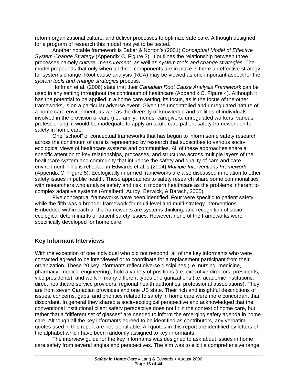<span id="page-16-0"></span>reform organizational culture, and deliver processes to optimize safe care. Although designed for a program of research this model has yet to be tested.

Another notable framework is Baker & Norton's (2001) *Conceptual Model of Effective System Change Strategy* (Appendix C, Figure 3). It outlines the relationship between three processes namely *culture*, *measurement*, as well as *system tools and change strategies*. The model propounds that only when all three components are in place is there an effective strategy for systems change. Root cause analysis (RCA) may be viewed as one important aspect for the *system tools and change strategies* process.

 Hoffman et al. (2006) state that their *Canadian Root Cause Analysis Framework* can be used in any setting throughout the continuum of healthcare (Appendix C, Figure 4). Although it has the potential to be applied in a home care setting, its focus, as is the focus of the other frameworks, is on a particular adverse event. Given the uncontrolled and unregulated nature of a home care environment, as well as the diversity of knowledge and abilities of individuals involved in the provision of care (i.e. family, friends, caregivers, unregulated workers, various professionals), it would be inadequate to apply an acute care patient safety framework on to safety in home care.

 One "school" of conceptual frameworks that has begun to inform some safety research across the continuum of care is represented by research that subscribes to various socioecological views of healthcare systems and communities. All of these approaches share a specific attention to key relationships, processes, and structures across multiple layers of the healthcare system and community that influence the safety and quality of care and care environment. This is reflected in Edwards et al.'s (2004) *Multiple Interventions Framework* (Appendix C, Figure 5). Ecologically informed frameworks are also discussed in relation to other safety issues in public health. These approaches to safety research share some commonalities with researchers who analyze safety and risk in modern healthcare as the problems inherent to complex adaptive systems (Amalberti, Auroy, Berwick, & Barach, 2005).

 Five conceptual frameworks have been identified. Four were specific to patient safety while the fifth was a broader framework for multi-level and multi-strategy interventions. Embedded within each of the frameworks are systems thinking, and recognition of socioecological determinants of patient safety issues. However, none of the frameworks were specifically developed for home care.

#### **Key Informant Interviews**

With the exception of one individual who did not respond, all of the key informants who were contacted agreed to be interviewed or to coordinate for a replacement participant from their organization. These 20 key informants reflect diverse disciplines (i.e. nursing, medicine, pharmacy, medical engineering), hold a variety of positions (i.e. executive directors, presidents, vice presidents), and work in many different types of organizations (i.e. academic institutions, direct healthcare service providers, regional health authorities, professional associations). They are from seven Canadian provinces and one US state. Their rich and insightful descriptions of issues, concerns, gaps, and priorities related to safety in home care were more concordant than discordant. In general they shared a socio-ecological perspective and acknowledged that the conventional institutional client safety perspective does not fit in the context of home care, but rather that a "different set of glasses" are needed to inform the emerging safety agenda in home care. Although all the key informants agreed to be identified as contributors, any verbatim quotes used in this report are not identifiable. All quotes in this report are identified by letters of the alphabet which have been randomly assigned to key informants.

 The interview guide for the key informants was designed to ask about issues in home care safety from several angles and perspectives. The aim was to elicit a comprehensive range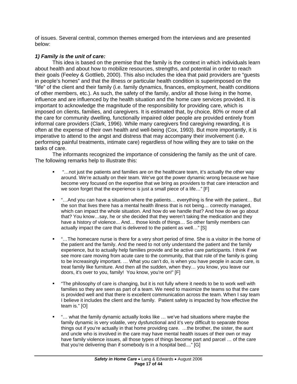<span id="page-17-0"></span>of issues. Several central, common themes emerged from the interviews and are presented below:

#### *1) Family is the unit of care:*

This idea is based on the premise that the family is the context in which individuals learn about health and about how to mobilize resources, strengths, and potential in order to reach their goals (Feeley & Gottlieb, 2000). This also includes the idea that paid providers are "guests in people's homes" and that the illness or particular health condition is superimposed on the "life" of the client and their family (i.e. family dynamics, finances, employment, health conditions of other members, etc.). As such, the safety of the family, and/or all those living in the home, influence and are influenced by the health situation and the home care services provided. It is important to acknowledge the magnitude of the responsibility for providing care, which is imposed on clients, families, and caregivers. It is estimated that, by choice, 80% or more of all the care for community dwelling, functionally impaired older people are provided entirely from informal care providers (Clark, 1996). While many caregivers find caregiving rewarding, it is often at the expense of their own health and well-being (Cox, 1993). But more importantly, it is imperative to attend to the angst and distress that may accompany their involvement (i.e. performing painful treatments, intimate care) regardless of how willing they are to take on the tasks of care.

The informants recognized the importance of considering the family as the unit of care. The following remarks help to illustrate this:

- "…not just the patients and families are on the healthcare team, it's actually the other way around. We're actually on their team. We've got the power dynamic wrong because we have become very focused on the expertise that we bring as providers to that care interaction and we soon forget that the experience is just a small piece of a life..." [F]
- "...And you can have a situation where the patients... everything is fine with the patient... But the son that lives there has a mental health illness that is not being… correctly managed, which can impact the whole situation. And how do we handle that? And how do we go about that? You know…say, he or she decided that they weren't taking the medication and they have a history of violence... And... those kinds of things... So other family members can actually impact the care that is delivered to the patient as well…" [S]
- "…The homecare nurse is there for a very short period of time. She is a visitor in the home of the patient and the family. And the need to not only understand the patient and the family experience, but to actually help families provide and be active care participants. I think if we see more care moving from acute care to the community, that that role of the family is going to be increasingly important. … What you can't do, is when you have people in acute care, is treat family like furniture. And then all the sudden, when they… you know, you leave our doors, it's over to you, family! You know, you're on!" [F]
- "The philosophy of care is changing, but it is not fully where it needs to be to work well with families so they are seen as part of a team. We need to maximize the teams so that the care is provided well and that there is excellent communication across the team. When I say team I believe it includes the client and the family. Patient safety is impacted by how effective the team is." [O]
- "… what the family dynamic actually looks like … we've had situations where maybe the family dynamic is very volatile, very dysfunctional and it's very difficult to separate those things out if you're actually in that home providing care. …the brother, the sister, the aunt and uncle who is involved in the care may have mental health issues of their own or may have family violence issues, all those types of things become part and parcel … of the care that you're delivering than if somebody is in a hospital bed...." [G]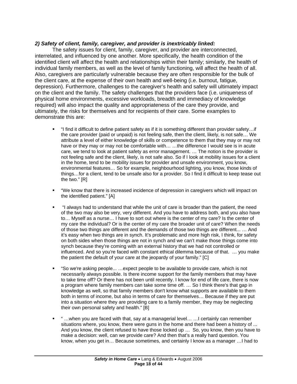#### <span id="page-18-0"></span>*2) Safety of client, family, caregiver, and provider is inextricably linked:*

The safety issues for client, family, caregiver, and provider are interconnected, interrelated, and influenced by one another. More specifically, the health condition of the identified client will affect the health and relationships within their family; similarly, the health of individual family members, as well as the level of family functioning, will affect the health of all. Also, caregivers are particularly vulnerable because they are often responsible for the bulk of the client care, at the expense of their own health and well-being (i.e. burnout, fatigue, depression). Furthermore, challenges to the caregiver's health and safety will ultimately impact on the client and the family. The safety challenges that the providers face (i.e. uniqueness of physical home environments, excessive workloads, breadth and immediacy of knowledge required) will also impact the quality and appropriateness of the care they provide, and ultimately, the risks for themselves and for recipients of their care. Some examples to demonstrate this are:

- "I find it difficult to define patient safety as if it is something different than provider safety…if the care provider (paid or unpaid) is not feeling safe, then the client, likely, is not safe… We attribute a level of either knowledge of skills or competence to them that they may or may not have or they may or may not be comfortable with... ... the difference I would see is in acute care, we tend to look at patient safety as error management. … The notion is the provider is not feeling safe and the client, likely, is not safe also. So if I look at mobility issues for a client in the home, tend to be mobility issues for provider and unsafe environment, you know, environmental features… So for example, neighbourhood lighting, you know, those kinds of things…for a client, tend to be unsafe also for a provider. So I find it difficult to keep tease out the two." [R]
- "We know that there is increased incidence of depression in caregivers which will impact on the identified patient." [A]
- "I always had to understand that while the unit of care is broader than the patient, the need of the two may also be very, very different. And you have to address both, and you also have to… Myself as a nurse… I have to sort out where is the center of my care? Is the center of my care the individual? Or is the center of my care the broader unit of care? When the needs of those two things are different and the demands of those two things are different... … And it's easy when two things are in synch. It's problematic and more high risk, I think, for safety on both sides when those things are not in synch and we can't make those things come into synch because they're coming with an external history that we had not controlled or influenced. And so you're faced with constant ethical dilemma because of that. … you make the patient the default of your care at the jeopardy of your family." [C]
- "So we're asking people... …expect people to be available to provide care, which is not necessarily always possible. Is there income support for the family members that may have to take time off? Or there has not been until recently. I know for end of life care, there is now a program where family members can take some time off. … So I think there's that gap in knowledge as well, so that family members don't know what supports are available to them both in terms of income, but also in terms of care for themselves… Because if they are put into a situation where they are providing care to a family member, they may be neglecting their own personal safety and health." [B]
- " …when you are faced with that, say at a managerial level… …I certainly can remember situations where, you know, there were guns in the home and there had been a history of ... And you know, the client refused to have those locked up … So, you know, then you have to make a decision: well, can we provide care? And then that's a really hard question. You know, when you get in… Because sometimes, and certainly I know as a manager …I had to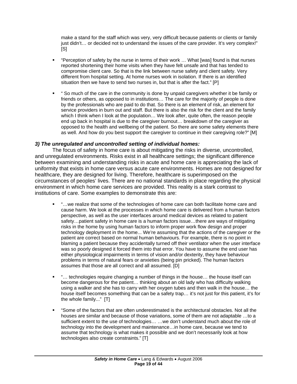<span id="page-19-0"></span>make a stand for the staff which was very, very difficult because patients or clients or family just didn't… or decided not to understand the issues of the care provider. It's very complex!"  $[S]$ 

- "Perception of safety by the nurse in terms of their work … What [was] found is that nurses reported shortening their home visits when they have felt unsafe and that has tended to compromise client care. So that is the link between nurse safety and client safety. Very different from hospital setting. At home nurses work in isolation. If there is an identified situation then we have to send two nurses in, but that is after the fact." [P]
- " So much of the care in the community is done by unpaid caregivers whether it be family or friends or others, as opposed to in institutions… The care for the majority of people is done by the professionals who are paid to do that. So there is an element of risk, an element for service providers in burn out and staff. But there is also the risk for the client and the family which I think when I look at the population… We look after, quite often, the reason people end up back in hospital is due to the caregiver burnout… breakdown of the caregiver as opposed to the health and wellbeing of the patient. So there are some safety elements there as well. And how do you best support the caregiver to continue in their caregiving role?" [M]

#### *3) The unregulated and uncontrolled setting of individual homes:*

The focus of safety in home care is about mitigating the risks in diverse, uncontrolled, and unregulated environments. Risks exist in all healthcare settings; the significant difference between examining and understanding risks in acute and home care is appreciating the lack of uniformity that exists in home care versus acute care environments. Homes are not designed for healthcare, they are designed for living. Therefore, healthcare is superimposed on the circumstances of peoples' lives. There are no national standards in place regarding the physical environment in which home care services are provided. This reality is a stark contrast to institutions of care. Some examples to demonstrate this are:

- "…we realize that some of the technologies of home care can both facilitate home care and cause harm. We look at the processes in which home care is delivered from a human factors perspective, as well as the user interfaces around medical devices as related to patient safety…patient safety in home care is a human factors issue…there are ways of mitigating risks in the home by using human factors to inform proper work flow design and proper technology deployment in the home... We're assuming that the actions of the caregiver or the patient are correct based on normal human behaviours. For example, there is no point in blaming a patient because they accidentally turned off their ventilator when the user interface was so poorly designed it forced them into that error. You have to assume the end user has either physiological impairments in terms of vision and/or dexterity, they have behaviour problems in terms of natural fears or anxieties (being pin pricked). The human factors assumes that those are all correct and all assumed. [D]
- "… technologies require changing a number of things in the house… the house itself can become dangerous for the patient… thinking about an old lady who has difficulty walking using a walker and she has to carry with her oxygen tubes and then walk in the house… the house itself becomes something that can be a safety trap… it's not just for this patient, it's for the whole family..." [T]
- "Some of the factors that are often underestimated is the architectural obstacles. Not all the houses are similar and because of those variations, some of them are not adaptable …to a sufficient extent to the use of technologies… …we don't understand much about the role of technology into the development and maintenance…in home care, because we tend to assume that technology is what makes it possible and we don't necessarily look at how technologies also create constraints." [T]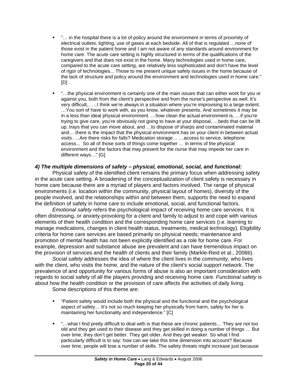- <span id="page-20-0"></span> "… in the hospital there is a lot of policy around the environment in terms of proximity of electrical outlets, lighting, use of gases at each bedside. All of that is regulated …none of those exist in the patient home and I am not aware of any standards around environment for home care. The acute care setting is highly structured in terms of the qualifications of the caregivers and that does not exist in the home. Many technologies used in home care, compared to the acute care setting, are relatively less sophisticated and don't have the level of rigor of technologies... Those to me present unique safety issues in the home because of the lack of structure and policy around the environment and technologies used in home care." [D]
- "…the physical environment is certainly one of the main issues that can either work for you or against you, both from the client's perspective and from the nurse's perspective as well. It's very difficult,.. …I think we're always in a situation where you're improvising to a large extent. …You sort of have to work with, as you know, whatever presents. And sometimes it may be in a less than ideal physical environment. …how clean the actual environment is, …if you're trying to give care, you're obviously not going to have at your disposal, …beds that can be lift up, trays that you can move about, and …to dispose of sharps and contaminated material and… there is the impact that the physical environment has on your client in between actual visits. …Are there risks for falls? Medication storage… …access to service, telephone access... So all of those sorts of things come together … in terms of the physical environment and the factors that may present for the nurse that may impede her care in different ways…" [G]

#### *4) The multiple dimensions of safety – physical, emotional, social, and functional:*

Physical safety of the identified client remains the primary focus when addressing safety in the acute care setting. A broadening of the conceptualization of client safety is necessary in home care because there are a myriad of players and factors involved. The range of physical environments (i.e. location within the community, physical layout of homes), diversity of the people involved, and the relationships within and between them, supports the need to expand the definition of safety in home care to include emotional, social, and functional factors.

*Emotional safety* refers the psychological impact of receiving home care services. It is often distressing, or anxiety-provoking for a client and family to adjust to and cope with various elements of their health condition and the corresponding home care services (i.e. learning to manage medications, changes in client health status, treatments, medical technology). Eligibility criteria for home care services are based primarily on physical needs; maintenance and promotion of mental health has not been explicitly identified as a role for home care. For example, depression and substance abuse are prevalent and can have tremendous impact on the provision of services and the health of clients and their family (Markle-Reid et al., 2006b).

*Social safety* addresses the idea of where the client lives in the community, who lives with the client, who visits the home, and the nature of the client's social support network. The prevalence of and opportunity for various forms of abuse is also an important consideration with regards to social safety of all the players providing and receiving home care. *Functional safety* is about how the health condition or the provision of care affects the activities of daily living.

Some descriptions of this theme are:

- "Patient safety would include both the physical and the functional and the psychological aspect of safety… It's not so much keeping her physically from harm, safety for her is maintaining her functionality and independence." [C]
- "…what I find pretty difficult to deal with is that these are chronic patients… They are not too old and they get used to their disease and they get skilled in doing a number of things … But over time, they don't get better. They get older. And they get weaker. So what I find particularly difficult is to say: how can we take this time dimension into account? Because over time, people will lose a number of skills. The safety threats might increase just because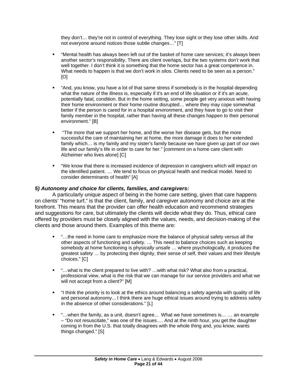<span id="page-21-0"></span>they don't… they're not in control of everything. They lose sight or they lose other skills. And not everyone around notices those subtle changes…" [T]

- "Mental health has always been left out of the basket of home care services; it's always been another sector's responsibility. There are client overlaps, but the two systems don't work that well together. I don't think it is something that the home sector has a great competence in. What needs to happen is that we don't work in silos. Clients need to be seen as a person." [O]
- "And, you know, you have a lot of that same stress if somebody is in the hospital depending what the nature of the illness is, especially if it's an end of life situation or if it's an acute, potentially fatal, condition. But in the home setting, some people get very anxious with having their home environment or their home routine disrupted… where they may cope somewhat better if the person is cared for in a hospital environment, and they have to go to visit their family member in the hospital, rather than having all these changes happen to their personal environment." [B]
- "The more that we support her home, and the worse her disease gets, but the more successful the care of maintaining her at home, the more damage it does to her extended family which… is my family and my sister's family because we have given up part of our own life and our family's life in order to care for her." [comment on a home care client with Alzheimer who lives alone] [C]
- "We know that there is increased incidence of depression in caregivers which will impact on the identified patient. … We tend to focus on physical health and medical model. Need to consider determinants of health" [A]

#### *5) Autonomy and choice for clients, families, and caregivers:*

A particularly unique aspect of being in the home care setting, given that care happens on clients' "home turf," is that the client, family, and caregiver autonomy and choice are at the forefront. This means that the provider can offer health education and recommend strategies and suggestions for care, but ultimately the clients will decide what they do. Thus, ethical care offered by providers must be closely aligned with the values, needs, and decision-making of the clients and those around them. Examples of this theme are:

- "...the need in home care to emphasize more the balance of physical safety versus all the other aspects of functioning and safety. … This need to balance choices such as keeping somebody at home functioning is physically unsafe … where psychologically, it produces the greatest safety … by protecting their dignity, their sense of self, their values and their lifestyle choices." [C]
- "…what is the client prepared to live with? …with what risk? What also from a practical, professional view, what is the risk that we can manage for our service providers and what we will not accept from a client?" [M]
- "I think the priority is to look at the ethics around balancing a safety agenda with quality of life and personal autonomy... I think there are huge ethical issues around trying to address safety in the absence of other considerations." [L]
- "…when the family, as a unit, doesn't agree... What we have sometimes is… … an example – "Do not resuscitate," was one of the issues…. And at the ninth hour, you get the daughter coming in from the U.S. that totally disagrees with the whole thing and, you know, wants things changed." [S]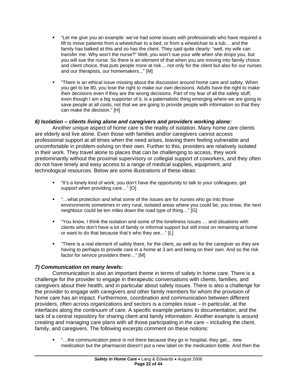- <span id="page-22-0"></span> "Let me give you an example: we've had some issues with professionals who have required a lift to move patients from a wheelchair to a bed, or from a wheelchair to a tub… and the family has balked at this and so has the client. They said quite clearly: "well, my wife can transfer me. Why won't the nurse?" Well, you won't sue your wife when she drops you, but you will sue the nurse. So there is an element of that when you are moving into family choice and client choice, that puts people more at risk… not only for the client but also for our nurses and our therapists, our homemakers..." [M]
- "There is an ethical issue missing about the discussion around home care and safety. When you get to be 80, you lose the right to make our own decisions. Adults have the right to make their decisions even if they are the wrong decisions. Part of my fear of all the safety stuff, even though I am a big supporter of it, is a paternalistic thing emerging where we are going to save people at all costs, not that we are going to provide people with information so that they can make the decision." [H]

#### *6) Isolation – clients living alone and caregivers and providers working alone:*

Another unique aspect of home care is the reality of isolation. Many home care clients are elderly and live alone. Even those with families and/or caregivers cannot access professional support at all times when the need arises, leaving them feeling vulnerable and uncomfortable in problem-solving on their own. Further to this, providers are relatively isolated in their work. They travel alone to places that can be challenging to access, they work predominantly without the proximal supervisory or collegial support of coworkers, and they often do not have timely and easy access to a range of medical supplies, equipment, and technological resources. Below are some illustrations of these ideas:

- "It's a lonely kind of work; you don't have the opportunity to talk to your colleagues, get support when providing care…" [O]
- "…what protection and what some of the issues are for nurses who go into those environments sometimes in very rural, isolated areas where you could be, you know, the next neighbour could be ten miles down the road type of thing…" [G]
- "You know, I think the isolation and some of the loneliness issues … and situations with clients who don't have a lot of family or informal support but still insist on remaining at home or want to do that because that's who they are…" [L]
- "There is a real element of safety there, for the client, as well as for the caregiver as they are having to perhaps to provide care in a home at 3 am and being on their own. And so the risk factor for service providers there…" [M]

#### *7) Communication on many levels:*

Communication is also an important theme in terms of safety in home care. There is a challenge for the provider to engage in therapeutic conversations with clients, families, and caregivers about their health, and in particular about safety issues. There is also a challenge for the provider to engage with caregivers and other family members for whom the provision of home care has an impact. Furthermore, coordination and communication between different providers, often across organizations and sectors is a complex issue – in particular, at the interfaces along the continuum of care. A specific example pertains to documentation, and the lack of a central repository for sharing client and family information. Another example is around creating and managing care plans with all those participating in the care – including the client, family, and caregivers. The following excerpts comment on these notions:

■ "…the communication piece is not there because they go in hospital, they get... new medication but the pharmacist doesn't put a new label on the medication bottle. And then the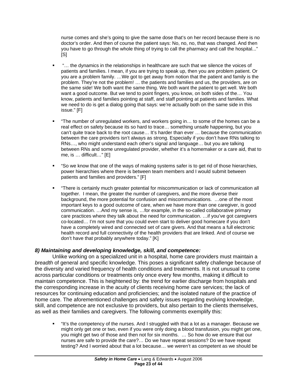<span id="page-23-0"></span>nurse comes and she's going to give the same dose that's on her record because there is no doctor's order. And then of course the patient says: No, no, no, that was changed. And then you have to go through the whole thing of trying to call the pharmacy and call the hospital..." [S]

- "… the dynamics in the relationships in healthcare are such that we silence the voices of patients and families. I mean, if you are trying to speak up, then you are problem patient. Or you are a problem family. …We got to get away from notion that the patient and family is the problem. They're not the problem! … the patients and families and us, the providers, are on the same side! We both want the same thing. We both want the patient to get well. We both want a good outcome. But we tend to point fingers, you know, on both sides of the… You know, patients and families pointing at staff, and staff pointing at patients and families. What we need to do is get a dialog going that says: we're actually both on the same side in this issue." [F]
- "The number of unregulated workers, and workers going in… to some of the homes can be a real effect on safety because its so hard to trace… something unsafe happening, but you can't quite trace back to the root cause… It's harder than ever … because the communication between the care providers isn't always as strong. Especially if you don't have RNs talking to RNs…, who might understand each other's signal and language… but you are talking between RNs and some unregulated provider, whether it's a homemaker or a care aid, that to me, is … difficult…" [E]
- "So we know that one of the ways of making systems safer is to get rid of those hierarchies, power hierarchies where there is between team members and I would submit between patients and families and providers." [F]
- "There is certainly much greater potential for miscommunication or lack of communication all together. I mean, the greater the number of caregivers, and the more diverse their background, the more potential for confusion and miscommunications. …one of the most important keys to a good outcome of care, when we have more than one caregiver, is good communication. …And my sense is, …for example, in the so-called collaborative primary care practices where they talk about the need for communication. …if you've got caregivers co-located… I'm not sure that you could even start to deliver good homecare if you don't have a completely wired and connected set of care givers. And that means a full electronic health record and full connectivity of the health providers that are linked. And of course we don't have that probably anywhere today." [K]

#### *8) Maintaining and developing knowledge, skill, and competence:*

Unlike working on a specialized unit in a hospital, home care providers must maintain a *breadth* of general and specific knowledge. This poses a significant safety challenge because of the diversity and varied frequency of health conditions and treatments. It is not unusual to come across particular conditions or treatments only once every few months, making it difficult to maintain competence. This is heightened by: the trend for earlier discharge from hospitals and the corresponding increase in the acuity of clients receiving home care services; the lack of resources for continuing education and proficiencies; and the isolated nature of the practice of home care. The aforementioned challenges and safety issues regarding evolving knowledge, skill, and competence are not exclusive to providers, but also pertain to the clients themselves, as well as their families and caregivers. The following comments exemplify this:

 "It's the competency of the nurses. And I struggled with that a lot as a manager. Because we might only get one or two, even if you were only doing a blood transfusion, you might get one, you might get two of those and then not for six months. … So how do we ensure that our nurses are safe to provide the care?… Do we have repeat sessions? Do we have repeat testing? And I worried about that a lot because… we weren't as competent as we should be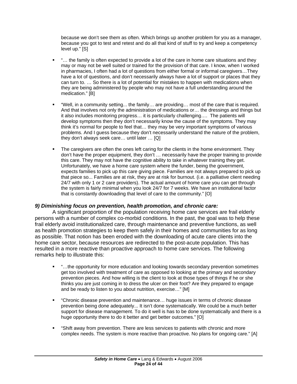<span id="page-24-0"></span>because we don't see them as often. Which brings up another problem for you as a manager, because you got to test and retest and do all that kind of stuff to try and keep a competency level up." [S]

- "… the family is often expected to provide a lot of the care in home care situations and they may or may not be well suited or trained for the provision of that care. I know, when I worked in pharmacies, I often had a lot of questions from either formal or informal caregivers…They have a lot of questions, and don't necessarily always have a lot of support or places that they can turn to. … So there is a lot of potential for mistakes to happen with medications when they are being administered by people who may not have a full understanding around the medication." [B]
- "Well, in a community setting... the family… are providing… most of the care that is required. And that involves not only the administration of medications or… the dressings and things but it also includes monitoring progress… it is particularly challenging…. The patients will develop symptoms then they don't necessarily know the cause of the symptoms. They may think it's normal for people to feel that… they may be very important symptoms of various problems. And I guess because they don't necessarily understand the nature of the problem, they don't always seek care… until later … [Q]
- The caregivers are often the ones left caring for the clients in the home environment. They don't have the proper equipment, they don't … necessarily have the proper training to provide this care. They may not have the cognitive ability to take in whatever training they get. Unfortunately, we have a home care system where the funder, being the government, expects families to pick up this care giving piece. Families are not always prepared to pick up that piece so... Families are at risk, they are at risk for burnout. (i.e. a palliative client needing 24/7 with only 1 or 2 care providers). The actual amount of home care you can get through the system is fairly minimal when you look 24/7 for 7 weeks. We have an institutional factor that is constantly downloading that level of care to the community." [O]

#### *9) Diminishing focus on prevention, health promotion, and chronic care:*

A significant proportion of the population receiving home care services are frail elderly persons with a number of complex co-morbid conditions. In the past, the goal was to help these frail elderly avoid institutionalized care, through maintenance and preventive functions, as well as health promotion strategies to keep them safely in their homes and communities for as long as possible. That notion has been eroded with the downloading of acute care clients into the home care sector, because resources are redirected to the post-acute population. This has resulted in a more reactive than proactive approach to home care services. The following remarks help to illustrate this:

- "…the opportunity for more education and looking towards secondary prevention sometimes get too involved with treatment of care as opposed to looking at the primary and secondary prevention pieces. And how willing is the client to look at those types of things if he or she thinks you are just coming in to dress the ulcer on their foot? Are they prepared to engage and be ready to listen to you about nutrition, exercise…" [M]
- "Chronic disease prevention and maintenance… huge issues in terms of chronic disease prevention being done adequately... It isn't done systematically. We could be a much better support for disease management. To do it well is has to be done systematically and there is a huge opportunity there to do it better and get better outcomes." [O]
- "Shift away from prevention. There are less services to patients with chronic and more complex needs. The system is more reactive than proactive. No plans for ongoing care." [A]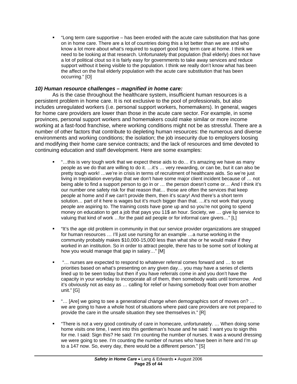<span id="page-25-0"></span> "Long term care supportive – has been eroded with the acute care substitution that has gone on in home care. There are a lot of countries doing this a lot better than we are and who know a lot more about what's required to support good long term care at home. I think we need to be looking at that research. Unfortunately that population (frail elderly) does not have a lot of political clout so it is fairly easy for governments to take away services and reduce support without it being visible to the population. I think we really don't know what has been the affect on the frail elderly population with the acute care substitution that has been occurring." [O]

#### *10) Human resource challenges – magnified in home care:*

As is the case throughout the healthcare system, insufficient human resources is a persistent problem in home care. It is not exclusive to the pool of professionals, but also includes unregulated workers (i.e. personal support workers, homemakers). In general, wages for home care providers are lower than those in the acute care sector. For example, in some provinces, personal support workers and homemakers could make similar or more income working at a fast-food franchise, where working conditions might not be as stressful. There are a number of other factors that contribute to depleting human resources: the numerous and diverse environments and working conditions; the isolation; the job insecurity due to employers loosing and modifying their home care service contracts; and the lack of resources and time devoted to continuing education and staff development. Here are some examples:

- "…this is very tough work that we expect these aids to do… it's amazing we have as many people as we do that are willing to do it. …it's … very rewarding, or can be, but it can also be pretty tough work! …we're in crisis in terms of recruitment of healthcare aids. So we're just living in trepidation everyday that we don't have some major client incident because of … not being able to find a support person to go in or … the person doesn't come or… And I think it's our number one safety risk for that reason that… those are often the services that keep people at home and if we can't provide them, then it's scary! And there's a short term solution… part of it here is wages but it's much bigger than that. …it's not work that young people are aspiring to. The training costs have gone up and so you're not going to spend money on education to get a job that pays you 11\$ an hour. Society, we … give lip service to valuing that kind of work …for the paid aid people or for informal care givers…" [L]
- "It's the age old problem in community in that our service provider organizations are strapped for human resources … I'll just use nursing for an example …a nurse working in the community probably makes \$10,000-15,000 less than what she or he would make if they worked in an institution. So in order to attract people, there has to be some sort of looking at how you would manage that gap in salary…" [M]
- "… nurses are expected to respond to whatever referral comes forward and … to set priorities based on what's presenting on any given day… you may have a series of clients lined up to be seen today but then if you have referrals come in and you don't have the capacity in your workday to incorporate all of them, then somebody waits until tomorrow. And it's obviously not as easy as … calling for relief or having somebody float over from another unit." [G]
- "… [Are] we going to see a generational change when demographics sort of moves on? … we are going to have a whole host of situations where paid care providers are not prepared to provide the care in the unsafe situation they see themselves in." [R]
- "There is not a very good continuity of care in homecare, unfortunately. … When doing some home visits one time, I went into this gentleman's house and he said: I want you to sign this for me. I said: Sign this? He said: I'm counting the number of nurses. It was a wound dressing we were going to see. I'm counting the number of nurses who have been in here and I'm up to a 147 now. So, every day, there would be a different person." [S]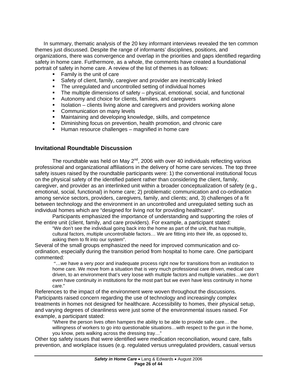<span id="page-26-0"></span>In summary, thematic analysis of the 20 key informant interviews revealed the ten common themes just discussed. Despite the range of informants' disciplines, positions, and organizations, there was convergence and overlap in the priorities and gaps identified regarding safety in home care. Furthermore, as a whole, the comments have created a foundational portrait of safety in home care. A review of the list of themes is as follows:

- Family is the unit of care
- Safety of client, family, caregiver and provider are inextricably linked
- The unregulated and uncontrolled setting of individual homes
- The multiple dimensions of safety physical, emotional, social, and functional
- Autonomy and choice for clients, families, and caregivers
- $\blacksquare$  Isolation clients living alone and caregivers and providers working alone
- Communication on many levels
- **Maintaining and developing knowledge, skills, and competence**
- **Diminishing focus on prevention, health promotion, and chronic care**
- **Human resource challenges magnified in home care**

#### **Invitational Roundtable Discussion**

The roundtable was held on May  $2^{nd}$ , 2006 with over 40 individuals reflecting various professional and organizational affiliations in the delivery of home care services. The top three safety issues raised by the roundtable participants were: 1) the conventional institutional focus on the physical safety of the identified patient rather than considering the client, family, caregiver, and provider as an interlinked unit within a broader conceptualization of safety (e.g., emotional, social, functional) in home care; 2) problematic communication and co-ordination among service sectors, providers, caregivers, family, and clients; and, 3) challenges of a fit between technology and the environment in an uncontrolled and unregulated setting such as individual homes which are "designed for living not for providing healthcare".

Participants emphasized the importance of understanding and supporting the roles of the entire unit (client, family, and care providers). For example, a participant stated:

"We don't see the individual going back into the home as part of the unit, that has multiple, cultural factors, multiple uncontrollable factors… We are fitting into their life, as opposed to, asking them to fit into our system".

Several of the small groups emphasized the need for improved communication and coordination, especially during the transition period from hospital to home care. One participant commented:

"…we have a very poor and inadequate process right now for transitions from an institution to home care. We move from a situation that is very much professional care driven, medical care driven, to an environment that's very loose with multiple factors and multiple variables…we don't even have continuity in institutions for the most part but we even have less continuity in home care."

References to the impact of the environment were woven throughout the discussions. Participants raised concern regarding the use of technology and increasingly complex treatments in homes not designed for healthcare. Accessibility to homes, their physical setup, and varying degrees of cleanliness were just some of the environmental issues raised. For example, a participant stated:

"Where the person lives often hampers the ability to be able to provide safe care… the willingness of workers to go into questionable situations…with respect to the gun in the home, you know, pets walking across the dressing tray…"

Other top safety issues that were identified were medication reconciliation, wound care, falls prevention, and workplace issues (e.g. regulated versus unregulated providers, casual versus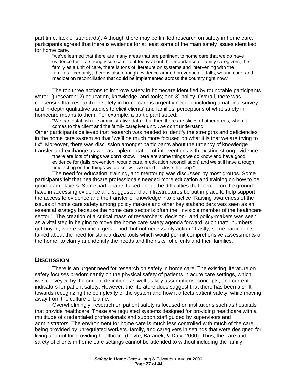<span id="page-27-0"></span>part time, lack of standards). Although there may be limited research on safety in home care, participants agreed that there is evidence for at least some of the main safety issues identified for home care.

"we've learned that there are many areas that are pertinent to home care that we do have evidence for… a strong issue came out today about the importance of family caregivers, the family as a unit of care, there is tons of literature on systems and intervening with the families…certainly, there is also enough evidence around prevention of falls, wound care, and medication reconciliation that could be implemented across the country right now."

The top three actions to improve safety in homecare identified by roundtable participants were: 1) research; 2) education, knowledge, and tools; and 3) policy. Overall, there was consensus that research on safety in home care is urgently needed including a national survey and in-depth qualitative studies to elicit clients' and families' perceptions of what safety in homecare means to them. For example, a participant stated:

"We can establish the administrative data…but then there are slices of other areas, when it comes to the client and the family caregiver unit…we don't understand."

Other participants believed that research was needed to identify the strengths and deficiencies in the home care system so that "we'll be much more focused on what it is that we are trying to fix". Moreover, there was discussion amongst participants about the urgency of knowledge transfer and exchange as well as implementation of interventions with existing strong evidence.

"there are lots of things we don't know. There are some things we do know and have good evidence for (falls prevention, wound care, medication reconciliation) and we still have a tough time acting on the things we do know…we need to close the loop."

The need for education, training, and mentoring was discussed by most groups. Some participants felt that healthcare professionals needed more education and training on how to be good team players. Some participants talked about the difficulties that "people on the ground" have in accessing evidence and suggested that infrastructures be put in place to help support the access to evidence and the transfer of knowledge into practice. Raising awareness of the issues of home care safety among policy makers and other key stakeholders was seen as an essential strategy because the home care sector is often the "invisible member of the healthcare sector." The creation of a critical mass of researchers, decision-, and policy-makers was seen as a vital step in helping to move the home care safety agenda forward, such that: "numbers get-buy-in, where sentiment gets a nod, but not necessarily action." Lastly, some participants talked about the need for standardized tools which would permit comprehensive assessments of the home "to clarify and identify the needs and the risks" of clients and their families.

## **DISCUSSION**

 There is an urgent need for research on safety in home care. The existing literature on safety focuses predominantly on the physical safety of patients in acute care settings, which was conveyed by the current definitions as well as key assumptions, concepts, and current indicators for patient safety. However, the literature does suggest that there has been a shift towards recognizing the complexity of the system and how it affects patient safety, while moving away from the culture of blame.

 Overwhelmingly, research on patient safety is focused on institutions such as hospitals that provide healthcare. These are regulated systems designed for providing healthcare with a multitude of credentialed professionals and support staff guided by supervisors and administrators. The environment for home care is much less controlled with much of the care being provided by unregulated workers, family, and caregivers in settings that were designed for living and not for providing healthcare (Coyte, Baranek, & Daly, 2000). Thus, the care and safety of clients in home care settings cannot be attended to without including the family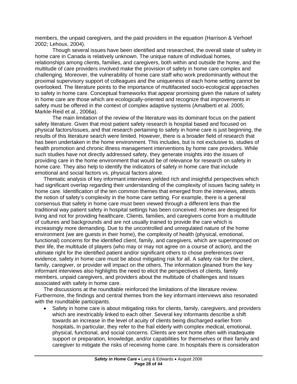members, the unpaid caregivers, and the paid providers in the equation (Harrison & Verhoef 2002; Lehoux, 2004).

 Though several issues have been identified and researched, the overall state of safety in home care in Canada is relatively unknown. The unique nature of individual homes, relationships among clients, families, and caregivers, both within and outside the home, and the multitude of care providers involved make the provision of safety in home care complex and challenging. Moreover, the vulnerability of home care staff who work predominantly without the proximal supervisory support of colleagues and the uniqueness of each home setting cannot be overlooked. The literature points to the importance of multifaceted socio-ecological approaches to safety in home care. Conceptual frameworks that appear promising given the nature of safety in home care are those which are ecologically-oriented and recognize that improvements in safety must be offered in the context of complex adaptive systems (Amalberti et al. 2005; Markle-Reid et al., 2006a).

The main limitation of the review of the literature was its dominant focus on the patient safety literature. Given that most patient safety research is hospital based and focused on physical factors/issues, and that research pertaining to safety in home care is just beginning, the results of this literature search were limited. However, there is a broader field of research that has been undertaken in the home environment. This includes, but is not exclusive to, studies of health promotion and chronic illness management interventions by home care providers. While such studies have not directly addressed safety, they generate insights into the issues of providing care in the home environment that would be of relevance for research on safety in home care. They also help to identify the indicators of safety in home care that include emotional and social factors vs. physical factors alone.

Thematic analysis of key informant interviews yielded rich and insightful perspectives which had significant overlap regarding their understanding of the complexity of issues facing safety in home care. Identification of the ten common themes that emerged from the interviews, attests the notion of safety's complexity in the home care setting. For example, there is a general consensus that safety in home care must been viewed through a different lens than the traditional way patient safety in hospital settings has been conceived. Homes are designed for living and not for providing healthcare. Clients, families, and caregivers come from a multitude of cultures and backgrounds and are not usually trained to provide the care which is increasingly more demanding. Due to the uncontrolled and unregulated nature of the home environment (we are guests in their home), the complexity of health (physical, emotional, functional) concerns for the identified client, family, and caregivers, which are superimposed on their life, the multitude of players (who may or may not agree on a course of action), and the ultimate right for the identified patient and/or significant others to chose preferences over evidence, safety in home care must be about mitigating risk for all. A safety risk for the client, family, caregiver, or provider will impact on the others. The information gleaned from the key informant interviews also highlights the need to elicit the perspectives of clients, family members, unpaid caregivers, and providers about the multitude of challenges and issues associated with safety in home care.

The discussions at the roundtable reinforced the limitations of the literature review. Furthermore, the findings and central themes from the key informant interviews also resonated with the roundtable participants.

• Safety in home care is about mitigating risks for clients, family, caregivers, and providers which are inextricably linked to each other. Several key informants describe a shift towards an increase in the level of acuity of clients being discharged earlier from hospitals**.** In particular, they refer to the frail elderly with complex medical, emotional, physical, functional, and social concerns. Clients are sent home often with inadequate support or preparation, knowledge, and/or capabilities for themselves or their family and caregiver to mitigate the risks of receiving home care. In hospitals there is consideration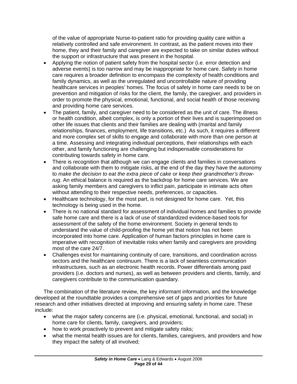of the value of appropriate Nurse-to-patient ratio for providing quality care within a relatively controlled and safe environment. In contrast, as the patient moves into their home, they and their family and caregiver are expected to take on similar duties without the support or infrastructure that was present in the hospital.

- Applying the notion of patient safety from the hospital sector (i.e. error detection and adverse events) is too narrow and may be inappropriate for home care. Safety in home care requires a broader definition to encompass the complexity of health conditions and family dynamics, as well as the unregulated and uncontrollable nature of providing healthcare services in peoples' homes. The focus of safety in home care needs to be on prevention and mitigation of risks for the client, the family, the caregiver, and providers in order to promote the physical, emotional, functional, and social health of those receiving and providing home care services.
- The patient, family, and caregiver need to be considered as the unit of care. The illness or health condition, albeit complex, is only a portion of their lives and is superimposed on other life issues that clients and their families are dealing with (marital and family relationships, finances, employment, life transitions, etc.) As such, it requires a different and more complex set of skills to engage and collaborate with more than one person at a time. Assessing and integrating individual perceptions, their relationships with each other, and family functioning are challenging but indispensable considerations for contributing towards safety in home care.
- There is recognition that although we can engage clients and families in conversations and collaborate with them to mitigate risks, at the end of the day they have the autonomy to *make the decision to eat the extra piece of cake or keep their grandmother's throwrug*. An ethical balance is required as the backdrop for home care services. We are asking family members and caregivers to inflict pain, participate in intimate acts often without attending to their respective needs, preferences, or capacities.
- Healthcare technology, for the most part, is not designed for home care. Yet, this technology is being used in the home.
- There is no national standard for assessment of individual homes and families to provide safe home care and there is a lack of use of standardized evidence-based tools for assessment of the safety of the home environment. Society in general tends to understand the value of child-proofing the home yet that notion has not been incorporated into home care. Application of human factors principles in home care is imperative with recognition of inevitable risks when family and caregivers are providing most of the care 24/7.
- Challenges exist for maintaining continuity of care, transitions, and coordination across sectors and the healthcare continuum. There is a lack of seamless communication infrastructures, such as an electronic health records. Power differentials among paid providers (i.e. doctors and nurses), as well as between providers and clients, family, and caregivers contribute to the communication quandary.

The combination of the literature review, the key informant information, and the knowledge developed at the roundtable provides a comprehensive set of gaps and priorities for future research and other initiatives directed at improving and ensuring safety in home care. These include:

- what the major safety concerns are (i.e. physical, emotional, functional, and social) in home care for clients, family, caregivers, and providers;
- how to work proactively to prevent and mitigate safety risks;
- what the mental health issues are for clients, families, caregivers, and providers and how they impact the safety of all involved;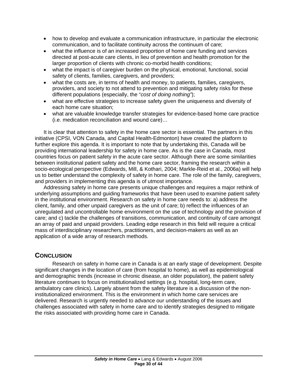- <span id="page-30-0"></span>• how to develop and evaluate a communication infrastructure, in particular the electronic communication, and to facilitate continuity across the continuum of care;
- what the influence is of an increased proportion of home care funding and services directed at post-acute care clients, in lieu of prevention and health promotion for the larger proportion of clients with chronic co-morbid health conditions;
- what the impact is of caregiver burden on the physical, emotional, functional, social safety of clients, families, caregivers, and providers;
- what the costs are, in terms of health and money, to patients, families, caregivers, providers, and society to not attend to prevention and mitigating safety risks for these different populations (especially, the "*cost of doing nothing"*);
- what are effective strategies to increase safety given the uniqueness and diversity of each home care situation;
- what are valuable knowledge transfer strategies for evidence-based home care practice (i.e. medication reconciliation and wound care)…

It is clear that attention to safety in the home care sector is essential. The partners in this initiative (CPSI, VON Canada, and Capital Health-Edmonton) have created the platform to further explore this agenda. It is important to note that by undertaking this, Canada will be providing international leadership for safety in home care. As is the case in Canada, most countries focus on patient safety in the acute care sector. Although there are some similarities between institutional patient safety and the home care sector, framing the research within a socio-ecological perspective (Edwards, Mill, & Kothari, 2004; Markle-Reid et al., 2006a) will help us to better understand the complexity of safety in home care. The role of the family, caregivers, and providers in implementing this agenda is of utmost importance.

Addressing safety in home care presents unique challenges and requires a major rethink of underlying assumptions and guiding frameworks that have been used to examine patient safety in the institutional environment. Research on safety in home care needs to: a) address the client, family, and other unpaid caregivers as the unit of care; b) reflect the influences of an unregulated and uncontrollable home environment on the use of technology and the provision of care; and c) tackle the challenges of transitions, communication, and continuity of care amongst an array of paid and unpaid providers. Leading edge research in this field will require a critical mass of interdisciplinary researchers, practitioners, and decision-makers as well as an application of a wide array of research methods.

## **CONCLUSION**

Research on safety in home care in Canada is at an early stage of development. Despite significant changes in the location of care (from hospital to home), as well as epidemiological and demographic trends (increase in chronic disease, an older population), the patient safety literature continues to focus on institutionalized settings (e.g. hospital, long-term care, ambulatory care clinics). Largely absent from the safety literature is a discussion of the noninstitutionalized environment. This is the environment in which home care services are delivered. Research is urgently needed to advance our understanding of the issues and challenges associated with safety in home care and to identify strategies designed to mitigate the risks associated with providing home care in Canada.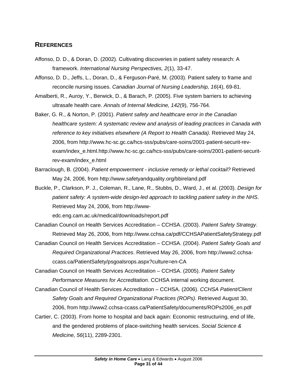## <span id="page-31-0"></span>**REFERENCES**

- Affonso, D. D., & Doran, D. (2002). Cultivating discoveries in patient safety research: A framework. *International Nursing Perspectives, 2*(1), 33-47.
- Affonso, D. D., Jeffs, L., Doran, D., & Ferguson-Paré, M. (2003). Patient safety to frame and reconcile nursing issues. *Canadian Journal of Nursing Leadership, 16*(4), 69-81.
- Amalberti, R., Auroy, Y., Berwick, D., & Barach, P. (2005). Five system barriers to achieving ultrasafe health care. *Annals of Internal Medicine, 142*(9), 756-764.
- Baker, G. R., & Norton, P. (2001). *Patient safety and healthcare error in the Canadian healthcare system: A systematic review and analysis of leading practices in Canada with reference to key initiatives elsewhere (A Report to Health Canada)*. Retrieved May 24, 2006, from http://www.hc-sc.gc.ca/hcs-sss/pubs/care-soins/2001-patient-securit-revexam/index\_e.html.http://www.hc-sc.gc.ca/hcs-sss/pubs/care-soins/2001-patient-securitrev-exam/index\_e.html
- Barraclough, B. (2004). *Patient empowerment inclusive remedy or lethal cocktail?* Retrieved May 24, 2006, from http://www.safetyandquality.org/bbireland.pdf
- Buckle, P., Clarkson, P. J., Coleman, R., Lane, R., Stubbs, D., Ward, J., et al. (2003). *Design for patient safety: A system-wide design-led approach to tackling patient safety in the NHS*. Retrieved May 24, 2006, from http://www-

edc.eng.cam.ac.uk/medical/downloads/report.pdf

- Canadian Council on Health Services Accreditation CCHSA. (2003). *Patient Safety Strategy*. Retrieved May 26, 2006, from http://www.cchsa.ca/pdf/CCHSAPatientSafetyStrategy.pdf
- Canadian Council on Health Services Accreditation CCHSA. (2004). *Patient Safety Goals and Required Organizational Practices*. Retrieved May 26, 2006, from http://www2.cchsaccass.ca/PatientSafety/psgoalsrops.aspx?culture=en-CA

Canadian Council on Health Services Accreditation – CCHSA. (2005). *Patient Safety Performance Measures for Accreditation*. CCHSA internal working document.

- Canadian Council of Health Services Accreditation CCHSA. (2006). *CCHSA Patient/Client Safety Goals and Required Organizational Practices (ROPs).* Retrieved August 30, 2006, from http://www2.cchsa-ccass.ca/PatientSafety/documents/ROPs2006\_en.pdf
- Cartier, C. (2003). From home to hospital and back again: Economic restructuring, end of life, and the gendered problems of place-switching health services. *Social Science & Medicine, 56*(11), 2289-2301.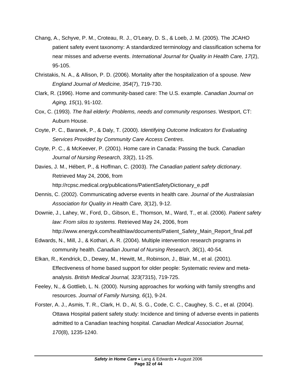- Chang, A., Schyve, P. M., Croteau, R. J., O'Leary, D. S., & Loeb, J. M. (2005). The JCAHO patient safety event taxonomy: A standardized terminology and classification schema for near misses and adverse events. *International Journal for Quality in Health Care, 17*(2), 95-105.
- Christakis, N. A., & Allison, P. D. (2006). Mortality after the hospitalization of a spouse. *New England Journal of Medicine, 354*(7), 719-730.
- Clark, R. (1996). Home and community-based care: The U.S. example. *Canadian Journal on Aging, 15*(1), 91-102.
- Cox, C. (1993). *The frail elderly: Problems, needs and community responses*. Westport, CT: Auburn House.
- Coyte, P. C., Baranek, P., & Daly, T. (2000). *Identifying Outcome Indicators for Evaluating Services Provided by Community Care Access Centres*.
- Coyte, P. C., & McKeever, P. (2001). Home care in Canada: Passing the buck. *Canadian Journal of Nursing Research, 33*(2), 11-25.
- Davies, J. M., Hébert, P., & Hoffman, C. (2003). *The Canadian patient safety dictionary*. Retrieved May 24, 2006, from http://rcpsc.medical.org/publications/PatientSafetyDictionary\_e.pdf
- Dennis, C. (2002). Communicating adverse events in health care. *Journal of the Australasian Association for Quality in Health Care, 3*(12), 9-12.
- Downie, J., Lahey, W., Ford, D., Gibson, E., Thomson, M., Ward, T., et al. (2006). *Patient safety law: From silos to systems*. Retrieved May 24, 2006, from http://www.energyk.com/healthlaw/documents/Patient\_Safety\_Main\_Report\_final.pdf
- Edwards, N., Mill, J., & Kothari, A. R. (2004). Multiple intervention research programs in community health. *Canadian Journal of Nursing Research, 36*(1), 40-54.
- Elkan, R., Kendrick, D., Dewey, M., Hewitt, M., Robinson, J., Blair, M., et al. (2001). Effectiveness of home based support for older people: Systematic review and metaanalysis. *British Medical Journal, 323*(7315), 719-725.
- Feeley, N., & Gottlieb, L. N. (2000). Nursing approaches for working with family strengths and resources. *Journal of Family Nursing, 6*(1), 9-24.
- Forster, A. J., Asmis, T. R., Clark, H. D., Al, S. G., Code, C. C., Caughey, S. C., et al. (2004). Ottawa Hospital patient safety study: Incidence and timing of adverse events in patients admitted to a Canadian teaching hospital. *Canadian Medical Association Journal, 170*(8), 1235-1240.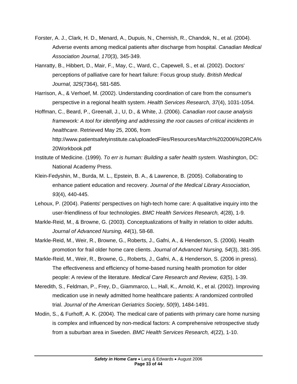- Forster, A. J., Clark, H. D., Menard, A., Dupuis, N., Chernish, R., Chandok, N., et al. (2004). Adverse events among medical patients after discharge from hospital. *Canadian Medical Association Journal, 170*(3), 345-349.
- Hanratty, B., Hibbert, D., Mair, F., May, C., Ward, C., Capewell, S., et al. (2002). Doctors' perceptions of palliative care for heart failure: Focus group study. *British Medical Journal, 325*(7364), 581-585.
- Harrison, A., & Verhoef, M. (2002). Understanding coordination of care from the consumer's perspective in a regional health system. *Health Services Research, 37*(4), 1031-1054.
- Hoffman, C., Beard, P., Greenall, J., U, D., & White, J. (2006). *Canadian root cause analysis framework: A tool for identifying and addressing the root causes of critical incidents in healthcare*. Retrieved May 25, 2006, from http://www.patientsafetyinstitute.ca/uploadedFiles/Resources/March%202006%20RCA%

```
20Workbook.pdf
```
- Institute of Medicine. (1999). *To err is human: Building a safer health system*. Washington, DC: National Academy Press.
- Klein-Fedyshin, M., Burda, M. L., Epstein, B. A., & Lawrence, B. (2005). Collaborating to enhance patient education and recovery. *Journal of the Medical Library Association, 93*(4), 440-445.
- Lehoux, P. (2004). Patients' perspectives on high-tech home care: A qualitative inquiry into the user-friendliness of four technologies. *BMC Health Services Research, 4*(28), 1-9.
- Markle-Reid, M., & Browne, G. (2003). Conceptualizations of frailty in relation to older adults. *Journal of Advanced Nursing, 44*(1), 58-68.
- Markle-Reid, M., Weir, R., Browne, G., Roberts, J., Gafni, A., & Henderson, S. (2006). Health promotion for frail older home care clients. *Journal of Advanced Nursing, 54*(3), 381-395.
- Markle-Reid, M., Weir, R., Browne, G., Roberts, J., Gafni, A., & Henderson, S. (2006 in press). The effectiveness and efficiency of home-based nursing health promotion for older people: A review of the literature. *Medical Care Research and Review, 63*(5), 1-39.
- Meredith, S., Feldman, P., Frey, D., Giammarco, L., Hall, K., Arnold, K., et al. (2002). Improving medication use in newly admitted home healthcare patients: A randomized controlled trial. *Journal of the American Geriatrics Society, 50*(9), 1484-1491.
- Modin, S., & Furhoff, A. K. (2004). The medical care of patients with primary care home nursing is complex and influenced by non-medical factors: A comprehensive retrospective study from a suburban area in Sweden. *BMC Health Services Research, 4*(22), 1-10.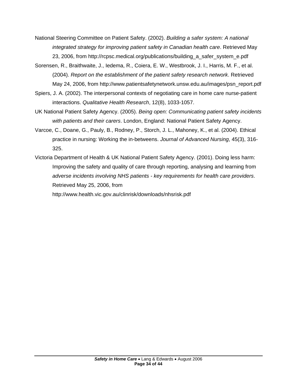- National Steering Committee on Patient Safety. (2002). *Building a safer system: A national integrated strategy for improving patient safety in Canadian health care*. Retrieved May 23, 2006, from http://rcpsc.medical.org/publications/building\_a\_safer\_system\_e.pdf
- Sorensen, R., Braithwaite, J., Iedema, R., Coiera, E. W., Westbrook, J. I., Harris, M. F., et al. (2004). *Report on the establishment of the patient safety research network*. Retrieved May 24, 2006, from http://www.patientsafetynetwork.unsw.edu.au/images/psn\_report.pdf
- Spiers, J. A. (2002). The interpersonal contexts of negotiating care in home care nurse-patient interactions. *Qualitative Health Research*, 12(8), 1033-1057.
- UK National Patient Safety Agency. (2005). *Being open: Communicating patient safety incidents with patients and their carers*. London, England: National Patient Safety Agency.
- Varcoe, C., Doane, G., Pauly, B., Rodney, P., Storch, J. L., Mahoney, K., et al. (2004). Ethical practice in nursing: Working the in-betweens. *Journal of Advanced Nursing*, 45(3), 316- 325.
- Victoria Department of Health & UK National Patient Safety Agency. (2001). Doing less harm: Improving the safety and quality of care through reporting, analysing and learning from *adverse incidents involving NHS patients - key requirements for health care providers*. Retrieved May 25, 2006, from

http://www.health.vic.gov.au/clinrisk/downloads/nhsrisk.pdf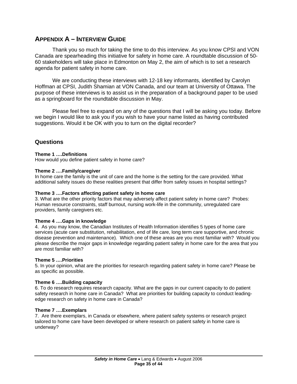## <span id="page-35-0"></span>**APPENDIX A – INTERVIEW GUIDE**

Thank you so much for taking the time to do this interview. As you know CPSI and VON Canada are spearheading this initiative for safety in home care. A roundtable discussion of 50- 60 stakeholders will take place in Edmonton on May 2, the aim of which is to set a research agenda for patient safety in home care.

We are conducting these interviews with 12-18 key informants, identified by Carolyn Hoffman at CPSI, Judith Shamian at VON Canada, and our team at University of Ottawa. The purpose of these interviews is to assist us in the preparation of a background paper to be used as a springboard for the roundtable discussion in May.

Please feel free to expand on any of the questions that I will be asking you today. Before we begin I would like to ask you if you wish to have your name listed as having contributed suggestions. Would it be OK with you to turn on the digital recorder?

#### **Questions**

#### **Theme 1 ….Definitions**

How would you define patient safety in home care?

#### **Theme 2 ….Family/caregiver**

In home care the family is the unit of care and the home is the setting for the care provided. What additional safety issues do these realities present that differ from safety issues in hospital settings?

#### **Theme 3 ….Factors affecting patient safety in home care**

3. What are the other priority factors that may adversely affect patient safety in home care? Probes: Human resource constraints, staff burnout, nursing work-life in the community, unregulated care providers, family caregivers etc.

#### **Theme 4 ….Gaps in knowledge**

4. As you may know, the Canadian Institutes of Health Information identifies 5 types of home care services (acute care substitution, rehabilitation, end of life care, long term care supportive, and chronic disease prevention and maintenance). Which one of these areas are you most familiar with? Would you please describe the major gaps in knowledge regarding patient safety in home care for the area that you are most familiar with?

#### **Theme 5 ….Priorities**

5. In your opinion, what are the priorities for research regarding patient safety in home care? Please be as specific as possible.

#### **Theme 6 ….Building capacity**

6. To do research requires research capacity. What are the gaps in our current capacity to do patient safety research in home care in Canada? What are priorities for building capacity to conduct leadingedge research on safety in home care in Canada?

#### **Theme 7 ….Exemplars**

7. Are there exemplars, in Canada or elsewhere, where patient safety systems or research project tailored to home care have been developed or where research on patient safety in home care is underway?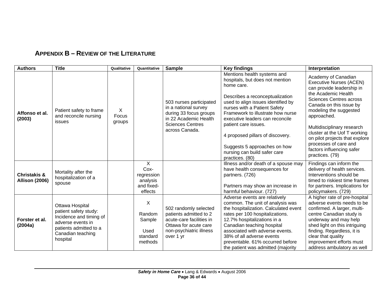## **APPENDIX B – REVIEW OF THE LITERATURE**

<span id="page-36-0"></span>

| <b>Authors</b>                                   | <b>Title</b>                                                                                                                                        | Qualitative          | Quantitative                                                              | <b>Sample</b>                                                                                                                                   | <b>Key findings</b>                                                                                                                                                                                                                                                                                                                                                                                          | Interpretation                                                                                                                                                                                                                                                                                                                                                                           |
|--------------------------------------------------|-----------------------------------------------------------------------------------------------------------------------------------------------------|----------------------|---------------------------------------------------------------------------|-------------------------------------------------------------------------------------------------------------------------------------------------|--------------------------------------------------------------------------------------------------------------------------------------------------------------------------------------------------------------------------------------------------------------------------------------------------------------------------------------------------------------------------------------------------------------|------------------------------------------------------------------------------------------------------------------------------------------------------------------------------------------------------------------------------------------------------------------------------------------------------------------------------------------------------------------------------------------|
| Affonso et al.<br>(2003)                         | Patient safety to frame<br>and reconcile nursing<br>issues                                                                                          | X<br>Focus<br>groups |                                                                           | 503 nurses participated<br>in a national survey<br>during 33 focus groups<br>in 22 Academic Health<br><b>Sciences Centres</b><br>across Canada. | Mentions health systems and<br>hospitals, but does not mention<br>home care.<br>Describes a reconceptualization<br>used to align issues identified by<br>nurses with a Patient Safety<br>Framework to illustrate how nurse<br>executive leaders can reconcile<br>patient care issues.<br>4 proposed pillars of discovery.<br>Suggests 5 approaches on how<br>nursing can build safer care<br>practices. (80) | Academy of Canadian<br><b>Executive Nurses (ACEN)</b><br>can provide leadership in<br>the Academic Health<br><b>Sciences Centres across</b><br>Canada on this issue by<br>modeling the suggested<br>approached.<br>Multidisciplinary research<br>cluster at the Uof T working<br>on pilot projects that explore<br>processes of care and<br>factors influencing safer<br>practices. (79) |
| <b>Christakis &amp;</b><br><b>Allison (2006)</b> | Mortality after the<br>hospitalization of a<br>spouse                                                                                               |                      | $\overline{X}$<br>Cox-<br>regression<br>analysis<br>and fixed-<br>effects |                                                                                                                                                 | Illness and/or death of a spouse may<br>have health consequences for<br>partners. (726)<br>Partners may show an increase in<br>harmful behaviour. (727)                                                                                                                                                                                                                                                      | Findings can inform the<br>delivery of health services.<br>Interventions should be<br>timed to riskiest time frames<br>for partners. Implications for<br>policymakers. (729)                                                                                                                                                                                                             |
| Forster et al.<br>(2004a)                        | Ottawa Hospital<br>patient safety study:<br>Incidence and timing of<br>adverse events in<br>patients admitted to a<br>Canadian teaching<br>hospital |                      | X<br>Random<br>Sample<br>Used<br>standard<br>methods                      | 502 randomly selected<br>patients admitted to 2<br>acute-care facilities in<br>Ottawa for acute care<br>non-psychiatric illness<br>over 1 yr    | Adverse events are relatively<br>common. The unit of analysis was<br>the hospitalization. Calculated event<br>rates per 100 hospitalizations.<br>12.7% hospitalizations in a<br>Canadian teaching hospital<br>associated with adverse events.<br>38% of all adverse events<br>preventable. 61% occurred before<br>the patient was admitted (majority                                                         | A higher rate of pre-hospital<br>adverse events needs to be<br>confirmed. A larger, multi-<br>centre Canadian study is<br>underway and may help<br>shed light on this intriguing<br>finding. Regardless, it is<br>clear that quality<br>improvement efforts must<br>address ambulatory as well                                                                                           |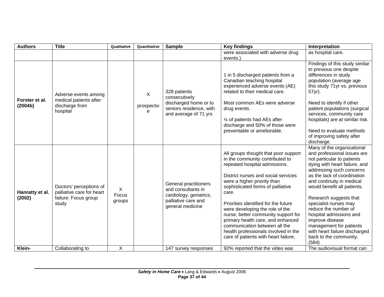| <b>Authors</b>            | <b>Title</b>                                                                          | Qualitative          | Quantitative         | <b>Sample</b>                                                                                                     | <b>Key findings</b>                                                                                                                                                                                                                                                                                                                                                                                                                                                                                  | Interpretation                                                                                                                                                                                                                                                                                                                                                                                                                                                          |
|---------------------------|---------------------------------------------------------------------------------------|----------------------|----------------------|-------------------------------------------------------------------------------------------------------------------|------------------------------------------------------------------------------------------------------------------------------------------------------------------------------------------------------------------------------------------------------------------------------------------------------------------------------------------------------------------------------------------------------------------------------------------------------------------------------------------------------|-------------------------------------------------------------------------------------------------------------------------------------------------------------------------------------------------------------------------------------------------------------------------------------------------------------------------------------------------------------------------------------------------------------------------------------------------------------------------|
|                           |                                                                                       |                      |                      |                                                                                                                   | were associated with adverse drug<br>events.)                                                                                                                                                                                                                                                                                                                                                                                                                                                        | as hospital care.                                                                                                                                                                                                                                                                                                                                                                                                                                                       |
| Forster et al.<br>(2004b) | Adverse events among<br>medical patients after<br>discharge from<br>hospital          |                      | X<br>prospectiv<br>е | 328 patients<br>consecutively<br>discharged home or to<br>seniors residence, with<br>and average of 71 yrs        | 1 in 5 discharged patients from a<br>Canadian teaching hospital<br>experienced adverse events (AE)<br>related to their medical care.<br>Most common AEs were adverse<br>drug events.                                                                                                                                                                                                                                                                                                                 | Findings of this study similar<br>to previous one despite<br>differences in study<br>population (average age<br>this study 71yr vs. previous<br>57yr).<br>Need to identify if other<br>patient populations (surgical                                                                                                                                                                                                                                                    |
|                           |                                                                                       |                      |                      |                                                                                                                   | services, community care<br>hospitals) are at similar risk.<br>1⁄4 of patients had AEs after<br>discharge and 50% of those were<br>preventable or ameliorable.<br>Need to evaluate methods<br>of improving safety after<br>discharge.                                                                                                                                                                                                                                                                |                                                                                                                                                                                                                                                                                                                                                                                                                                                                         |
| Hanratty et al.<br>(2002) | Doctors' perceptions of<br>palliative care for heart<br>failure: Focus group<br>study | X<br>Focus<br>groups |                      | General practitioners<br>and consultants in<br>cardiology, geriatrics,<br>palliative care and<br>general medicine | All groups thought that poor support<br>in the community contributed to<br>repeated hospital admissions.<br>District nurses and social services<br>were a higher priority than<br>sophisticated forms of palliative<br>care.<br>Priorities identified for the future<br>were developing the role of the<br>nurse, better community support for<br>primary health care, and enhanced<br>communication between all the<br>health professionals involved in the<br>care of patients with heart failure. | Many of the organizational<br>and professional issues are<br>not particular to patients<br>dying with heart failure, and<br>addressing such concerns<br>as the lack of coordination<br>and continuity in medical<br>would benefit all patients.<br>Research suggests that<br>specialist nurses may<br>reduce the number of<br>hospital admissions and<br>improve disease<br>management for patients<br>with heart failure discharged<br>back to the community.<br>(584) |
| Klein-                    | Collaborating to                                                                      | X                    |                      | 147 survey responses                                                                                              | 92% reported that the video was                                                                                                                                                                                                                                                                                                                                                                                                                                                                      | The audiovisual format can                                                                                                                                                                                                                                                                                                                                                                                                                                              |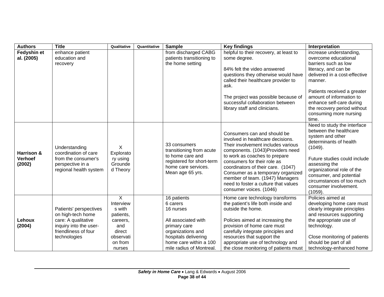| <b>Authors</b>                         | <b>Title</b>                                                                                                                         | Qualitative                                                                                                     | Quantitative | <b>Sample</b>                                                                                                                                                                  | <b>Key findings</b>                                                                                                                                                                                                                                                                                                                                                                         | Interpretation                                                                                                                                                                                                                                                                                       |
|----------------------------------------|--------------------------------------------------------------------------------------------------------------------------------------|-----------------------------------------------------------------------------------------------------------------|--------------|--------------------------------------------------------------------------------------------------------------------------------------------------------------------------------|---------------------------------------------------------------------------------------------------------------------------------------------------------------------------------------------------------------------------------------------------------------------------------------------------------------------------------------------------------------------------------------------|------------------------------------------------------------------------------------------------------------------------------------------------------------------------------------------------------------------------------------------------------------------------------------------------------|
| Fedyshin et<br>al. (2005)              | enhance patient<br>education and<br>recovery                                                                                         |                                                                                                                 |              | from discharged CABG<br>patients transitioning to<br>the home setting                                                                                                          | helpful to their recovery, at least to<br>some degree.<br>84% felt the video answered<br>questions they otherwise would have<br>called their healthcare provider to<br>ask.<br>The project was possible because of<br>successful collaboration between<br>library staff and clinicians.                                                                                                     | increase understanding,<br>overcome educational<br>barriers such as low<br>literacy, and can be<br>delivered in a cost-effective<br>manner.<br>Patients received a greater<br>amount of information to<br>enhance self-care during<br>the recovery period without<br>consuming more nursing<br>time. |
| Harrison &<br><b>Verhoef</b><br>(2002) | Understanding<br>coordination of care<br>from the consumer's<br>perspective in a<br>regional health system                           | X<br>Explorato<br>ry using<br>Grounde<br>d Theory                                                               |              | 33 consumers<br>transitioning from acute<br>to home care and<br>registered for short-term<br>home care services.<br>Mean age 65 yrs.                                           | Consumers can and should be<br>involved in healthcare decisions.<br>Their involvement includes various<br>components. (1043)Providers need<br>to work as coaches to prepare<br>consumers for their role as<br>coordinators of their care. (1047)<br>Consumer as a temporary organized<br>member of team. (1947) Managers<br>need to foster a culture that values<br>consumer voices. (1046) | Need to study the interface<br>between the healthcare<br>system and other<br>determinants of health<br>(1049).<br>Future studies could include<br>assessing the<br>organizational role of the<br>consumer, and potential<br>circumstances of too much<br>consumer involvement.<br>(1059).            |
| Lehoux<br>(2004)                       | Patients' perspectives<br>on high-tech home<br>care: A qualitative<br>inquiry into the user-<br>friendliness of four<br>technologies | $\mathsf{X}$<br>Interview<br>s with<br>patients,<br>careers,<br>and<br>direct<br>observati<br>on from<br>nurses |              | 16 patients<br>6 carers<br>16 nurses<br>All associated with<br>primary care<br>organizations and<br>hospitals delivering<br>home care within a 100<br>mile radius of Montreal. | Home care technology transforms<br>the patient's life both inside and<br>outside the home.<br>Policies aimed at increasing the<br>provision of home care must<br>carefully integrate principles and<br>resources that support the<br>appropriate use of technology and<br>the close monitoring of patients must                                                                             | Policies aimed at<br>developing home care must<br>clearly integrate principles<br>and resources supporting<br>the appropriate use of<br>technology.<br>Close monitoring of patients<br>should be part of all<br>technology-enhanced home                                                             |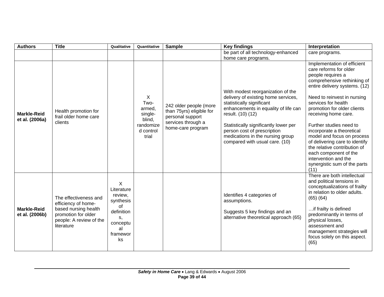| <b>Authors</b>                       | <b>Title</b>                                                                                                                         | Qualitative                                                                                           | Quantitative                                                                | <b>Sample</b>                                                                                                     | <b>Key findings</b>                                                                                                                                                                                                                                                                                              | Interpretation                                                                                                                                                                                                                                                                                                                                                                                                                                                                                           |
|--------------------------------------|--------------------------------------------------------------------------------------------------------------------------------------|-------------------------------------------------------------------------------------------------------|-----------------------------------------------------------------------------|-------------------------------------------------------------------------------------------------------------------|------------------------------------------------------------------------------------------------------------------------------------------------------------------------------------------------------------------------------------------------------------------------------------------------------------------|----------------------------------------------------------------------------------------------------------------------------------------------------------------------------------------------------------------------------------------------------------------------------------------------------------------------------------------------------------------------------------------------------------------------------------------------------------------------------------------------------------|
|                                      |                                                                                                                                      |                                                                                                       |                                                                             |                                                                                                                   | be part of all technology-enhanced<br>home care programs.                                                                                                                                                                                                                                                        | care programs.                                                                                                                                                                                                                                                                                                                                                                                                                                                                                           |
| <b>Markle-Reid</b><br>et al. (2006a) | Health promotion for<br>frail older home care<br>clients                                                                             |                                                                                                       | X<br>Two-<br>armed,<br>single-<br>blind,<br>randomize<br>d control<br>trial | 242 older people (more<br>than 75yrs) eligible for<br>personal support<br>services through a<br>home-care program | With modest reorganization of the<br>delivery of existing home services,<br>statistically significant<br>enhancements in equality of life can<br>result. (10) (12)<br>Statistically significantly lower per<br>person cost of prescription<br>medications in the nursing group<br>compared with usual care. (10) | Implementation of efficient<br>care reforms for older<br>people requires a<br>comprehensive rethinking of<br>entire delivery systems. (12)<br>Need to reinvest in nursing<br>services for health<br>promotion for older clients<br>receiving home care.<br>Further studies need to<br>incorporate a theoretical<br>model and focus on process<br>of delivering care to identify<br>the relative contribution of<br>each component of the<br>intervention and the<br>synergistic sum of the parts<br>(11) |
| <b>Markle-Reid</b><br>et al. (2006b) | The effectiveness and<br>efficiency of home-<br>based nursing health<br>promotion for older<br>people: A review of the<br>literature | X<br>Literature<br>review,<br>synthesis<br>of<br>definition<br>s,<br>conceptu<br>al<br>framewor<br>ks |                                                                             |                                                                                                                   | Identifies 4 categories of<br>assumptions.<br>Suggests 5 key findings and an<br>alternative theoretical approach (65)                                                                                                                                                                                            | There are both intellectual<br>and political tensions in<br>conceptualizations of frailty<br>in relation to older adults.<br>$(65)$ $(64)$<br>if frailty is defined<br>predominantly in terms of<br>physical losses,<br>assessment and<br>management strategies will<br>focus solely on this aspect.<br>(65)                                                                                                                                                                                             |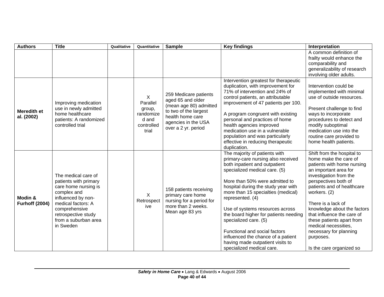| <b>Authors</b>                   | <b>Title</b>                                                                                                                                                                                                 | Qualitative | Quantitative                                                         | <b>Sample</b>                                                                                                                                                   | <b>Key findings</b>                                                                                                                                                                                                                                                                                                                                                                                                                                                                                                   | Interpretation                                                                                                                                                                                                                                                                                                                                                                                                        |
|----------------------------------|--------------------------------------------------------------------------------------------------------------------------------------------------------------------------------------------------------------|-------------|----------------------------------------------------------------------|-----------------------------------------------------------------------------------------------------------------------------------------------------------------|-----------------------------------------------------------------------------------------------------------------------------------------------------------------------------------------------------------------------------------------------------------------------------------------------------------------------------------------------------------------------------------------------------------------------------------------------------------------------------------------------------------------------|-----------------------------------------------------------------------------------------------------------------------------------------------------------------------------------------------------------------------------------------------------------------------------------------------------------------------------------------------------------------------------------------------------------------------|
|                                  |                                                                                                                                                                                                              |             |                                                                      |                                                                                                                                                                 |                                                                                                                                                                                                                                                                                                                                                                                                                                                                                                                       | A common definition of<br>frailty would enhance the<br>comparability and<br>generalizability of research<br>involving older adults.                                                                                                                                                                                                                                                                                   |
| <b>Meredith et</b><br>al. (2002) | Improving medication<br>use in newly admitted<br>home healthcare<br>patients: A randomized<br>controlled trial                                                                                               |             | X<br>Parallel<br>group,<br>randomize<br>d and<br>controlled<br>trial | 259 Medicare patients<br>aged 65 and older<br>(mean age 80) admitted<br>to two of the largest<br>health home care<br>agencies in the USA<br>over a 2 yr. period | Intervention greatest for therapeutic<br>duplication, with improvement for<br>71% of intervention and 24% of<br>control patients, an attributable<br>improvement of 47 patients per 100.<br>A program congruent with existing<br>personal and practices of home<br>health agencies improved<br>medication use in a vulnerable<br>population and was particularly<br>effective in reducing therapeutic<br>duplication.                                                                                                 | Intervention could be<br>implemented with minimal<br>use of outside resources.<br>Present challenge to find<br>ways to incorporate<br>procedures to detect and<br>modify suboptimal<br>medication use into the<br>routine care provided to<br>home health patients.                                                                                                                                                   |
| Modin &<br><b>Furhoff (2004)</b> | The medical care of<br>patients with primary<br>care home nursing is<br>complex and<br>influenced by non-<br>medical factors: A<br>comprehensive<br>retrospective study<br>from a suburban area<br>in Sweden |             | X<br>Retrospect<br>ive                                               | 158 patients receiving<br>primary care home<br>nursing for a period for<br>more than 2 weeks.<br>Mean age 83 yrs                                                | The majority of patients with<br>primary-care nursing also received<br>both inpatient and outpatient<br>specialized medical care. (5)<br>More than 50% were admitted to<br>hospital during the study year with<br>more than 15 specialties (medical)<br>represented. (4)<br>Use of systems resources across<br>the board higher for patients needing<br>specialized care. (5)<br>Functional and social factors<br>influenced the chance of a patient<br>having made outpatient visits to<br>specialized medical care. | Shift from the hospital to<br>home make the care of<br>patients with home nursing<br>an important area for<br>investigation from the<br>perspectives both of<br>patients and of healthcare<br>workers. (2)<br>There is a lack of<br>knowledge about the factors<br>that influence the care of<br>these patients apart from<br>medical necessities,<br>necessary for planning<br>purposes.<br>Is the care organized so |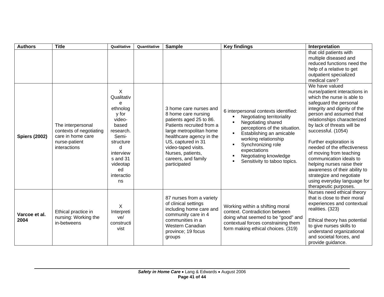| <b>Authors</b>        | <b>Title</b>                                                                                       | Qualitative                                                                                                                                                                          | Quantitative | <b>Sample</b>                                                                                                                                                                                                                                                         | <b>Key findings</b>                                                                                                                                                                                                                                                          | Interpretation                                                                                                                                                                                                                                                                                                                                                                                                                                                                                                          |
|-----------------------|----------------------------------------------------------------------------------------------------|--------------------------------------------------------------------------------------------------------------------------------------------------------------------------------------|--------------|-----------------------------------------------------------------------------------------------------------------------------------------------------------------------------------------------------------------------------------------------------------------------|------------------------------------------------------------------------------------------------------------------------------------------------------------------------------------------------------------------------------------------------------------------------------|-------------------------------------------------------------------------------------------------------------------------------------------------------------------------------------------------------------------------------------------------------------------------------------------------------------------------------------------------------------------------------------------------------------------------------------------------------------------------------------------------------------------------|
|                       |                                                                                                    |                                                                                                                                                                                      |              |                                                                                                                                                                                                                                                                       |                                                                                                                                                                                                                                                                              | that old patients with<br>multiple diseased and<br>reduced functions need the<br>help of a relative to get<br>outpatient specialized<br>medical care?                                                                                                                                                                                                                                                                                                                                                                   |
| <b>Spiers (2002)</b>  | The interpersonal<br>contexts of negotiating<br>care in home care<br>nurse-patient<br>interactions | $\sf X$<br>Qualitativ<br>$\mathbf{e}$<br>ethnolog<br>y for<br>video-<br>based<br>research.<br>Semi-<br>structure<br>d<br>interview<br>s and 31<br>videotap<br>ed<br>interactio<br>ns |              | 3 home care nurses and<br>8 home care nursing<br>patients aged 25 to 86.<br>Patients recruited from a<br>large metropolitan home<br>healthcare agency in the<br>US, captured in 31<br>video-taped visits.<br>Nurses, patients,<br>careers, and family<br>participated | 6 interpersonal contexts identified:<br>Negotiating territoriality<br>Negotiating shared<br>perceptions of the situation.<br>Establishing an amicable<br>working relationship<br>Synchronizing role<br>expectations<br>Negotiating knowledge<br>Sensitivity to taboo topics. | We have valued<br>nurse/patient interactions in<br>which the nurse is able to<br>safeguard the personal<br>integrity and dignity of the<br>person and assumed that<br>relationships characterized<br>by lack of threats will be<br>successful. (1054)<br>Further exploration is<br>needed of the effectiveness<br>of moving from teaching<br>communication ideals to<br>helping nurses raise their<br>awareness of their ability to<br>strategize and negotiate<br>using everyday language for<br>therapeutic purposes. |
| Varcoe et al.<br>2004 | Ethical practice in<br>nursing: Working the<br>in-betweens                                         | X<br>Interpreti<br>ve/<br>constructi<br>vist                                                                                                                                         |              | 87 nurses from a variety<br>of clinical settings<br>including home care and<br>community care in 4<br>communities in a<br>Western Canadian<br>province; 19 focus<br>groups                                                                                            | Working within a shifting moral<br>context. Contradiction between<br>doing what seemed to be "good" and<br>contextual forces constraining them<br>form making ethical choices. (319)                                                                                         | Nurses need ethical theory<br>that is close to their moral<br>experiences and contextual<br>realities. (323)<br>Ethical theory has potential<br>to give nurses skills to<br>understand organizational<br>and societal forces, and<br>provide guidance.                                                                                                                                                                                                                                                                  |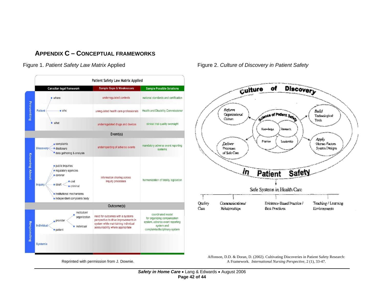## **APPENDIX C – CONCEPTUAL FRAMEWORKS**



Figure 1. Patient Safety Law Matrix Applied Figure 2. Culture of Discovery in Patient Safety



<span id="page-42-0"></span>Affonson, D.D. & Doran, D. (2002). Cultivating Discoveries in Patient Safety Research: A Framework*. International Nursing Perspective*, 2 (1), 33-47.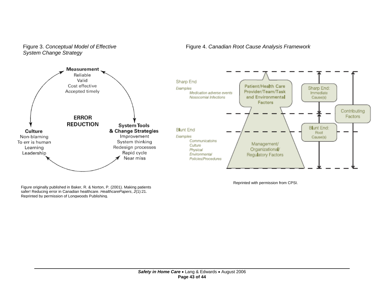

Figure 3. *Conceptual Model of Effective System Change Strategy* 

Figure 4. *Canadian Root Cause Analysis Framework* 

Figure originally published in Baker, R. & Norton, P. (2001). Making patients safer! Reducing error in Canadian healthcare. *HealthcarePapers*,  $\tilde{2}(1)$ :21. Reprinted by permission of Longwoods Publishing.

Reprinted with permission from CPSI.